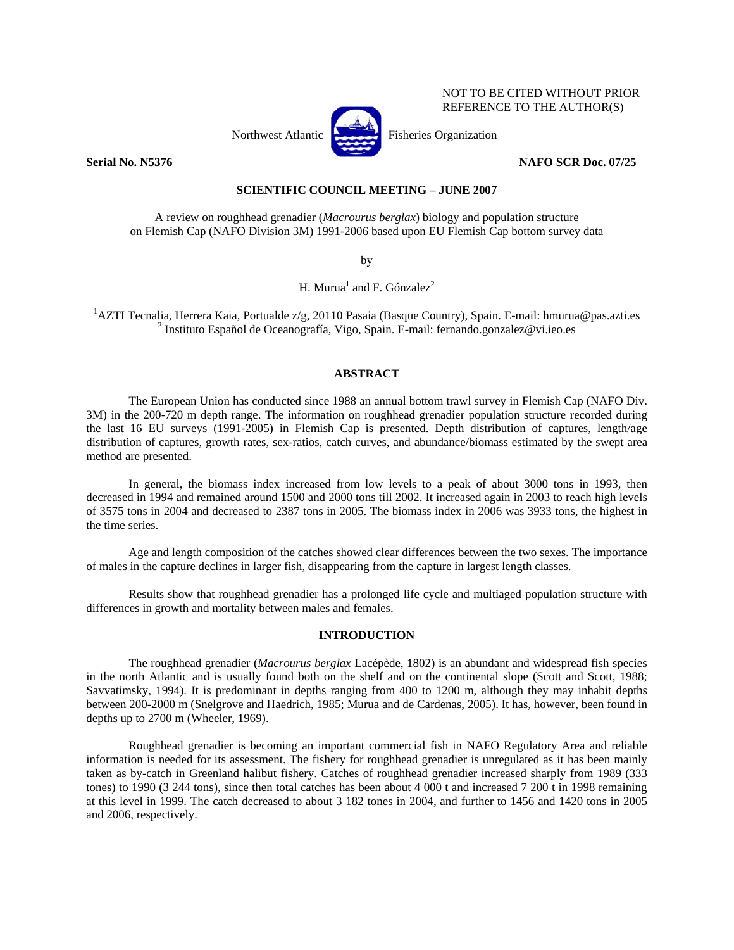

NOT TO BE CITED WITHOUT PRIOR

REFERENCE TO THE AUTHOR(S)

## **Serial No. N5376** NAFO SCR Doc. 07/25

# **SCIENTIFIC COUNCIL MEETING – JUNE 2007**

A review on roughhead grenadier (*Macrourus berglax*) biology and population structure on Flemish Cap (NAFO Division 3M) 1991-2006 based upon EU Flemish Cap bottom survey data

by

H. Murua<sup>1</sup> and F. Gónzalez<sup>2</sup>

<sup>1</sup>AZTI Tecnalia, Herrera Kaia, Portualde z/g, 20110 Pasaia (Basque Country), Spain. E-mail: hmurua@pas.azti.es <sup>2</sup><br><sup>2</sup> Institute Español de Oceanografía, Vice, Spain, E-mail: formande conzelaz@ui.ieo.es <sup>2</sup> Instituto Español de Oceanografía, Vigo, Spain. E-mail: fernando.gonzalez@vi.jeo.es

#### **ABSTRACT**

The European Union has conducted since 1988 an annual bottom trawl survey in Flemish Cap (NAFO Div. 3M) in the 200-720 m depth range. The information on roughhead grenadier population structure recorded during the last 16 EU surveys (1991-2005) in Flemish Cap is presented. Depth distribution of captures, length/age distribution of captures, growth rates, sex-ratios, catch curves, and abundance/biomass estimated by the swept area method are presented.

In general, the biomass index increased from low levels to a peak of about 3000 tons in 1993, then decreased in 1994 and remained around 1500 and 2000 tons till 2002. It increased again in 2003 to reach high levels of 3575 tons in 2004 and decreased to 2387 tons in 2005. The biomass index in 2006 was 3933 tons, the highest in the time series.

Age and length composition of the catches showed clear differences between the two sexes. The importance of males in the capture declines in larger fish, disappearing from the capture in largest length classes.

Results show that roughhead grenadier has a prolonged life cycle and multiaged population structure with differences in growth and mortality between males and females.

### **INTRODUCTION**

The roughhead grenadier (*Macrourus berglax* Lacépède, 1802) is an abundant and widespread fish species in the north Atlantic and is usually found both on the shelf and on the continental slope (Scott and Scott, 1988; Savvatimsky, 1994). It is predominant in depths ranging from 400 to 1200 m, although they may inhabit depths between 200-2000 m (Snelgrove and Haedrich, 1985; Murua and de Cardenas, 2005). It has, however, been found in depths up to 2700 m (Wheeler, 1969).

Roughhead grenadier is becoming an important commercial fish in NAFO Regulatory Area and reliable information is needed for its assessment. The fishery for roughhead grenadier is unregulated as it has been mainly taken as by-catch in Greenland halibut fishery. Catches of roughhead grenadier increased sharply from 1989 (333 tones) to 1990 (3 244 tons), since then total catches has been about 4 000 t and increased 7 200 t in 1998 remaining at this level in 1999. The catch decreased to about 3 182 tones in 2004, and further to 1456 and 1420 tons in 2005 and 2006, respectively.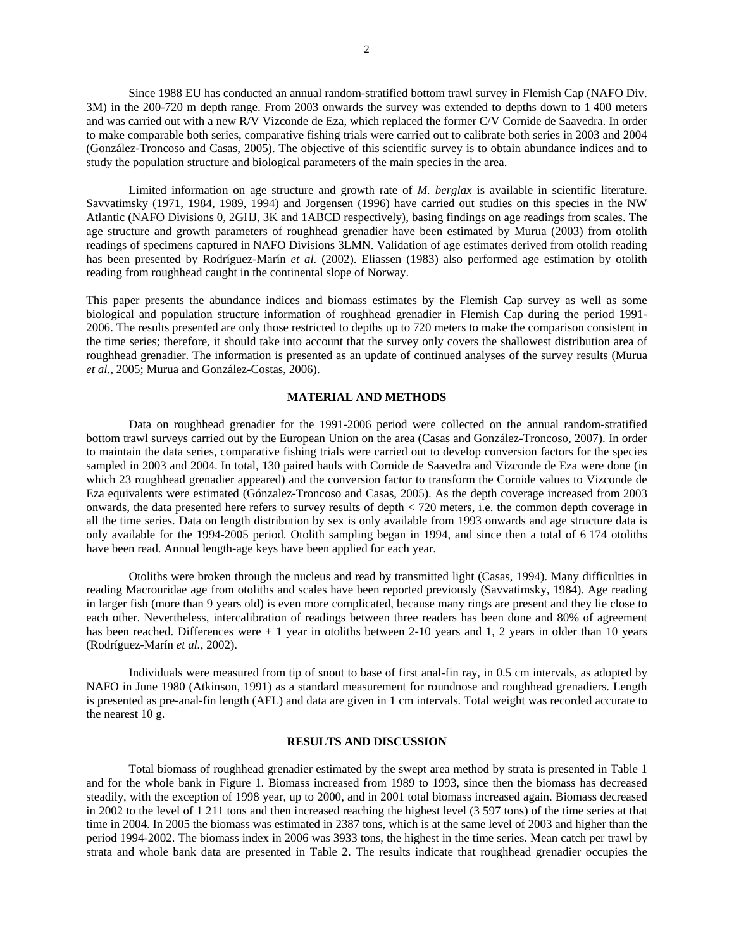Since 1988 EU has conducted an annual random-stratified bottom trawl survey in Flemish Cap (NAFO Div. 3M) in the 200-720 m depth range. From 2003 onwards the survey was extended to depths down to 1 400 meters and was carried out with a new R/V Vizconde de Eza, which replaced the former C/V Cornide de Saavedra. In order to make comparable both series, comparative fishing trials were carried out to calibrate both series in 2003 and 2004 (González-Troncoso and Casas, 2005). The objective of this scientific survey is to obtain abundance indices and to study the population structure and biological parameters of the main species in the area.

 Limited information on age structure and growth rate of *M. berglax* is available in scientific literature. Savvatimsky (1971, 1984, 1989, 1994) and Jorgensen (1996) have carried out studies on this species in the NW Atlantic (NAFO Divisions 0, 2GHJ, 3K and 1ABCD respectively), basing findings on age readings from scales. The age structure and growth parameters of roughhead grenadier have been estimated by Murua (2003) from otolith readings of specimens captured in NAFO Divisions 3LMN. Validation of age estimates derived from otolith reading has been presented by Rodríguez-Marín *et al.* (2002). Eliassen (1983) also performed age estimation by otolith reading from roughhead caught in the continental slope of Norway.

This paper presents the abundance indices and biomass estimates by the Flemish Cap survey as well as some biological and population structure information of roughhead grenadier in Flemish Cap during the period 1991- 2006. The results presented are only those restricted to depths up to 720 meters to make the comparison consistent in the time series; therefore, it should take into account that the survey only covers the shallowest distribution area of roughhead grenadier. The information is presented as an update of continued analyses of the survey results (Murua *et al.*, 2005; Murua and González-Costas, 2006).

### **MATERIAL AND METHODS**

Data on roughhead grenadier for the 1991-2006 period were collected on the annual random-stratified bottom trawl surveys carried out by the European Union on the area (Casas and González-Troncoso*,* 2007). In order to maintain the data series, comparative fishing trials were carried out to develop conversion factors for the species sampled in 2003 and 2004. In total, 130 paired hauls with Cornide de Saavedra and Vizconde de Eza were done (in which 23 roughhead grenadier appeared) and the conversion factor to transform the Cornide values to Vizconde de Eza equivalents were estimated (Gónzalez-Troncoso and Casas, 2005). As the depth coverage increased from 2003 onwards, the data presented here refers to survey results of depth < 720 meters, i.e. the common depth coverage in all the time series. Data on length distribution by sex is only available from 1993 onwards and age structure data is only available for the 1994-2005 period. Otolith sampling began in 1994, and since then a total of 6 174 otoliths have been read. Annual length-age keys have been applied for each year.

Otoliths were broken through the nucleus and read by transmitted light (Casas, 1994). Many difficulties in reading Macrouridae age from otoliths and scales have been reported previously (Savvatimsky, 1984). Age reading in larger fish (more than 9 years old) is even more complicated, because many rings are present and they lie close to each other. Nevertheless, intercalibration of readings between three readers has been done and 80% of agreement has been reached. Differences were  $\pm 1$  year in otoliths between 2-10 years and 1, 2 years in older than 10 years (Rodríguez-Marín *et al.*, 2002).

Individuals were measured from tip of snout to base of first anal-fin ray, in 0.5 cm intervals, as adopted by NAFO in June 1980 (Atkinson, 1991) as a standard measurement for roundnose and roughhead grenadiers. Length is presented as pre-anal-fin length (AFL) and data are given in 1 cm intervals. Total weight was recorded accurate to the nearest 10 g.

#### **RESULTS AND DISCUSSION**

Total biomass of roughhead grenadier estimated by the swept area method by strata is presented in Table 1 and for the whole bank in Figure 1. Biomass increased from 1989 to 1993, since then the biomass has decreased steadily, with the exception of 1998 year, up to 2000, and in 2001 total biomass increased again. Biomass decreased in 2002 to the level of 1 211 tons and then increased reaching the highest level (3 597 tons) of the time series at that time in 2004. In 2005 the biomass was estimated in 2387 tons, which is at the same level of 2003 and higher than the period 1994-2002. The biomass index in 2006 was 3933 tons, the highest in the time series. Mean catch per trawl by strata and whole bank data are presented in Table 2. The results indicate that roughhead grenadier occupies the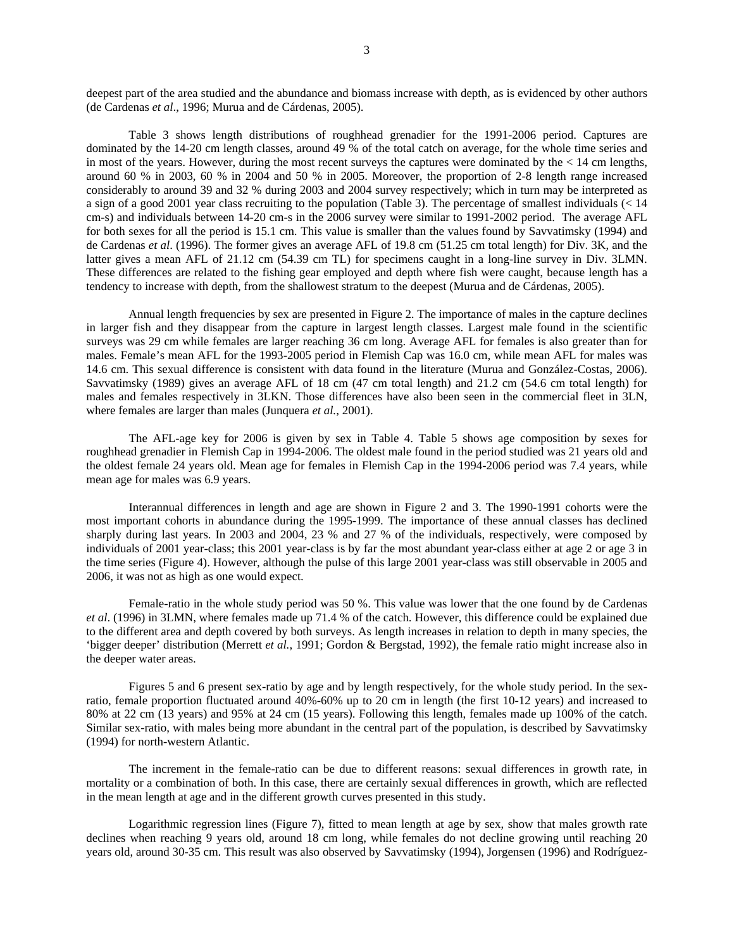deepest part of the area studied and the abundance and biomass increase with depth, as is evidenced by other authors (de Cardenas *et al*., 1996; Murua and de Cárdenas, 2005).

Table 3 shows length distributions of roughhead grenadier for the 1991-2006 period. Captures are dominated by the 14-20 cm length classes, around 49 % of the total catch on average, for the whole time series and in most of the years. However, during the most recent surveys the captures were dominated by the  $< 14$  cm lengths, around 60 % in 2003, 60 % in 2004 and 50 % in 2005. Moreover, the proportion of 2-8 length range increased considerably to around 39 and 32 % during 2003 and 2004 survey respectively; which in turn may be interpreted as a sign of a good 2001 year class recruiting to the population (Table 3). The percentage of smallest individuals (< 14 cm-s) and individuals between 14-20 cm-s in the 2006 survey were similar to 1991-2002 period. The average AFL for both sexes for all the period is 15.1 cm. This value is smaller than the values found by Savvatimsky (1994) and de Cardenas *et al*. (1996). The former gives an average AFL of 19.8 cm (51.25 cm total length) for Div. 3K, and the latter gives a mean AFL of 21.12 cm (54.39 cm TL) for specimens caught in a long-line survey in Div. 3LMN. These differences are related to the fishing gear employed and depth where fish were caught, because length has a tendency to increase with depth, from the shallowest stratum to the deepest (Murua and de Cárdenas, 2005).

Annual length frequencies by sex are presented in Figure 2. The importance of males in the capture declines in larger fish and they disappear from the capture in largest length classes. Largest male found in the scientific surveys was 29 cm while females are larger reaching 36 cm long. Average AFL for females is also greater than for males. Female's mean AFL for the 1993-2005 period in Flemish Cap was 16.0 cm, while mean AFL for males was 14.6 cm. This sexual difference is consistent with data found in the literature (Murua and González-Costas, 2006). Savvatimsky (1989) gives an average AFL of 18 cm (47 cm total length) and 21.2 cm (54.6 cm total length) for males and females respectively in 3LKN. Those differences have also been seen in the commercial fleet in 3LN, where females are larger than males (Junquera *et al.*, 2001).

The AFL-age key for 2006 is given by sex in Table 4. Table 5 shows age composition by sexes for roughhead grenadier in Flemish Cap in 1994-2006. The oldest male found in the period studied was 21 years old and the oldest female 24 years old. Mean age for females in Flemish Cap in the 1994-2006 period was 7.4 years, while mean age for males was 6.9 years.

Interannual differences in length and age are shown in Figure 2 and 3. The 1990-1991 cohorts were the most important cohorts in abundance during the 1995-1999. The importance of these annual classes has declined sharply during last years. In 2003 and 2004, 23 % and 27 % of the individuals, respectively, were composed by individuals of 2001 year-class; this 2001 year-class is by far the most abundant year-class either at age 2 or age 3 in the time series (Figure 4). However, although the pulse of this large 2001 year-class was still observable in 2005 and 2006, it was not as high as one would expect.

Female-ratio in the whole study period was 50 %. This value was lower that the one found by de Cardenas *et al*. (1996) in 3LMN, where females made up 71.4 % of the catch. However, this difference could be explained due to the different area and depth covered by both surveys. As length increases in relation to depth in many species, the 'bigger deeper' distribution (Merrett *et al.*, 1991; Gordon & Bergstad, 1992), the female ratio might increase also in the deeper water areas.

Figures 5 and 6 present sex-ratio by age and by length respectively, for the whole study period. In the sexratio, female proportion fluctuated around 40%-60% up to 20 cm in length (the first 10-12 years) and increased to 80% at 22 cm (13 years) and 95% at 24 cm (15 years). Following this length, females made up 100% of the catch. Similar sex-ratio, with males being more abundant in the central part of the population, is described by Savvatimsky (1994) for north-western Atlantic.

The increment in the female-ratio can be due to different reasons: sexual differences in growth rate, in mortality or a combination of both. In this case, there are certainly sexual differences in growth, which are reflected in the mean length at age and in the different growth curves presented in this study.

Logarithmic regression lines (Figure 7), fitted to mean length at age by sex, show that males growth rate declines when reaching 9 years old, around 18 cm long, while females do not decline growing until reaching 20 years old, around 30-35 cm. This result was also observed by Savvatimsky (1994), Jorgensen (1996) and Rodríguez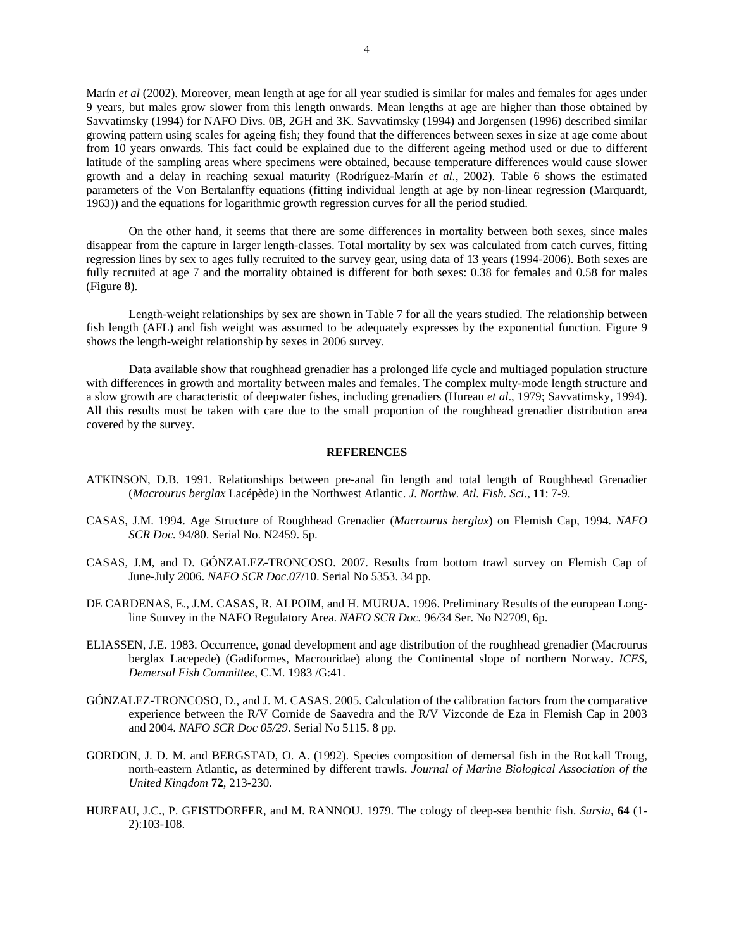Marín *et al* (2002). Moreover, mean length at age for all year studied is similar for males and females for ages under 9 years, but males grow slower from this length onwards. Mean lengths at age are higher than those obtained by Savvatimsky (1994) for NAFO Divs. 0B, 2GH and 3K. Savvatimsky (1994) and Jorgensen (1996) described similar growing pattern using scales for ageing fish; they found that the differences between sexes in size at age come about from 10 years onwards. This fact could be explained due to the different ageing method used or due to different latitude of the sampling areas where specimens were obtained, because temperature differences would cause slower growth and a delay in reaching sexual maturity (Rodríguez-Marín *et al.*, 2002). Table 6 shows the estimated parameters of the Von Bertalanffy equations (fitting individual length at age by non-linear regression (Marquardt, 1963)) and the equations for logarithmic growth regression curves for all the period studied.

On the other hand, it seems that there are some differences in mortality between both sexes, since males disappear from the capture in larger length-classes. Total mortality by sex was calculated from catch curves, fitting regression lines by sex to ages fully recruited to the survey gear, using data of 13 years (1994-2006). Both sexes are fully recruited at age 7 and the mortality obtained is different for both sexes: 0.38 for females and 0.58 for males (Figure 8).

Length-weight relationships by sex are shown in Table 7 for all the years studied. The relationship between fish length (AFL) and fish weight was assumed to be adequately expresses by the exponential function. Figure 9 shows the length-weight relationship by sexes in 2006 survey.

Data available show that roughhead grenadier has a prolonged life cycle and multiaged population structure with differences in growth and mortality between males and females. The complex multy-mode length structure and a slow growth are characteristic of deepwater fishes, including grenadiers (Hureau *et al*., 1979; Savvatimsky, 1994). All this results must be taken with care due to the small proportion of the roughhead grenadier distribution area covered by the survey.

#### **REFERENCES**

- ATKINSON, D.B. 1991. Relationships between pre-anal fin length and total length of Roughhead Grenadier (*Macrourus berglax* Lacépède) in the Northwest Atlantic. *J. Northw. Atl. Fish. Sci.,* **11**: 7-9.
- CASAS, J.M. 1994. Age Structure of Roughhead Grenadier (*Macrourus berglax*) on Flemish Cap, 1994. *NAFO SCR Doc.* 94/80. Serial No. N2459. 5p.
- CASAS, J.M, and D. GÓNZALEZ-TRONCOSO. 2007. Results from bottom trawl survey on Flemish Cap of June-July 2006. *NAFO SCR Doc.07*/10. Serial No 5353. 34 pp.
- DE CARDENAS, E., J.M. CASAS, R. ALPOIM, and H. MURUA. 1996. Preliminary Results of the european Longline Suuvey in the NAFO Regulatory Area. *NAFO SCR Doc.* 96/34 Ser. No N2709, 6p.
- ELIASSEN, J.E. 1983. Occurrence, gonad development and age distribution of the roughhead grenadier (Macrourus berglax Lacepede) (Gadiformes, Macrouridae) along the Continental slope of northern Norway. *ICES, Demersal Fish Committee*, C.M. 1983 /G:41.
- GÓNZALEZ-TRONCOSO, D., and J. M. CASAS. 2005. Calculation of the calibration factors from the comparative experience between the R/V Cornide de Saavedra and the R/V Vizconde de Eza in Flemish Cap in 2003 and 2004. *NAFO SCR Doc 05/29*. Serial No 5115. 8 pp.
- GORDON, J. D. M. and BERGSTAD, O. A. (1992). Species composition of demersal fish in the Rockall Troug, north-eastern Atlantic, as determined by different trawls. *Journal of Marine Biological Association of the United Kingdom* **72**, 213-230.
- HUREAU, J.C., P. GEISTDORFER, and M. RANNOU. 1979. The cology of deep-sea benthic fish. *Sarsia*, **64** (1- 2):103-108.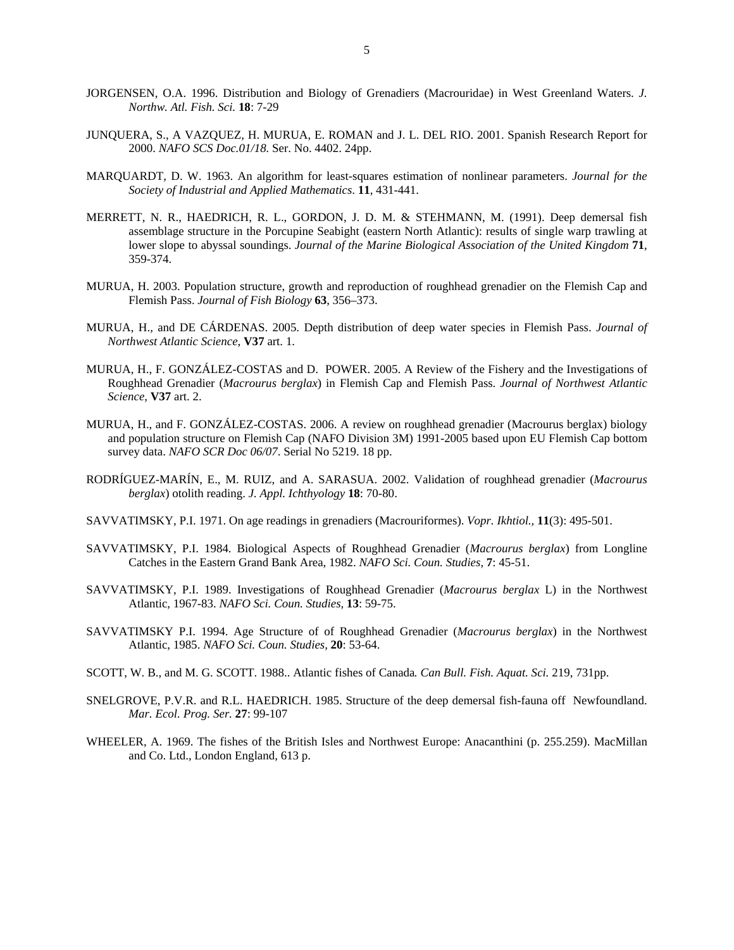- JORGENSEN, O.A. 1996. Distribution and Biology of Grenadiers (Macrouridae) in West Greenland Waters. *J. Northw. Atl. Fish. Sci.* **18**: 7-29
- JUNQUERA, S., A VAZQUEZ, H. MURUA, E. ROMAN and J. L. DEL RIO. 2001. Spanish Research Report for 2000. *NAFO SCS Doc.01/18.* Ser. No. 4402. 24pp.
- MARQUARDT, D. W. 1963. An algorithm for least-squares estimation of nonlinear parameters. *Journal for the Society of Industrial and Applied Mathematics*. **11**, 431-441.
- MERRETT, N. R., HAEDRICH, R. L., GORDON, J. D. M. & STEHMANN, M. (1991). Deep demersal fish assemblage structure in the Porcupine Seabight (eastern North Atlantic): results of single warp trawling at lower slope to abyssal soundings. *Journal of the Marine Biological Association of the United Kingdom* **71**, 359-374.
- MURUA, H. 2003. Population structure, growth and reproduction of roughhead grenadier on the Flemish Cap and Flemish Pass. *Journal of Fish Biology* **63**, 356–373.
- MURUA, H., and DE CÁRDENAS. 2005. Depth distribution of deep water species in Flemish Pass. *Journal of Northwest Atlantic Science*, **V37** art. 1.
- MURUA, H., F. GONZÁLEZ-COSTAS and D. POWER. 2005. A Review of the Fishery and the Investigations of Roughhead Grenadier (*Macrourus berglax*) in Flemish Cap and Flemish Pass. *Journal of Northwest Atlantic Science*, **V37** art. 2.
- MURUA, H., and F. GONZÁLEZ-COSTAS. 2006. A review on roughhead grenadier (Macrourus berglax) biology and population structure on Flemish Cap (NAFO Division 3M) 1991-2005 based upon EU Flemish Cap bottom survey data. *NAFO SCR Doc 06/07*. Serial No 5219. 18 pp.
- RODRÍGUEZ-MARÍN, E., M. RUIZ, and A. SARASUA. 2002. Validation of roughhead grenadier (*Macrourus berglax*) otolith reading. *J. Appl. Ichthyology* **18**: 70-80.
- SAVVATIMSKY, P.I. 1971. On age readings in grenadiers (Macrouriformes). *Vopr. Ikhtiol.,* **11**(3): 495-501.
- SAVVATIMSKY, P.I. 1984. Biological Aspects of Roughhead Grenadier (*Macrourus berglax*) from Longline Catches in the Eastern Grand Bank Area, 1982. *NAFO Sci. Coun. Studies,* **7**: 45-51.
- SAVVATIMSKY, P.I. 1989. Investigations of Roughhead Grenadier (*Macrourus berglax* L) in the Northwest Atlantic, 1967-83. *NAFO Sci. Coun. Studies,* **13**: 59-75.
- SAVVATIMSKY P.I. 1994. Age Structure of of Roughhead Grenadier (*Macrourus berglax*) in the Northwest Atlantic, 1985. *NAFO Sci. Coun. Studies,* **20**: 53-64.
- SCOTT, W. B., and M. G. SCOTT. 1988.. Atlantic fishes of Canada*. Can Bull. Fish. Aquat. Sci.* 219, 731pp.
- SNELGROVE, P.V.R. and R.L. HAEDRICH. 1985. Structure of the deep demersal fish-fauna off Newfoundland. *Mar. Ecol. Prog. Ser.* **27**: 99-107
- WHEELER, A. 1969. The fishes of the British Isles and Northwest Europe: Anacanthini (p. 255.259). MacMillan and Co. Ltd., London England, 613 p.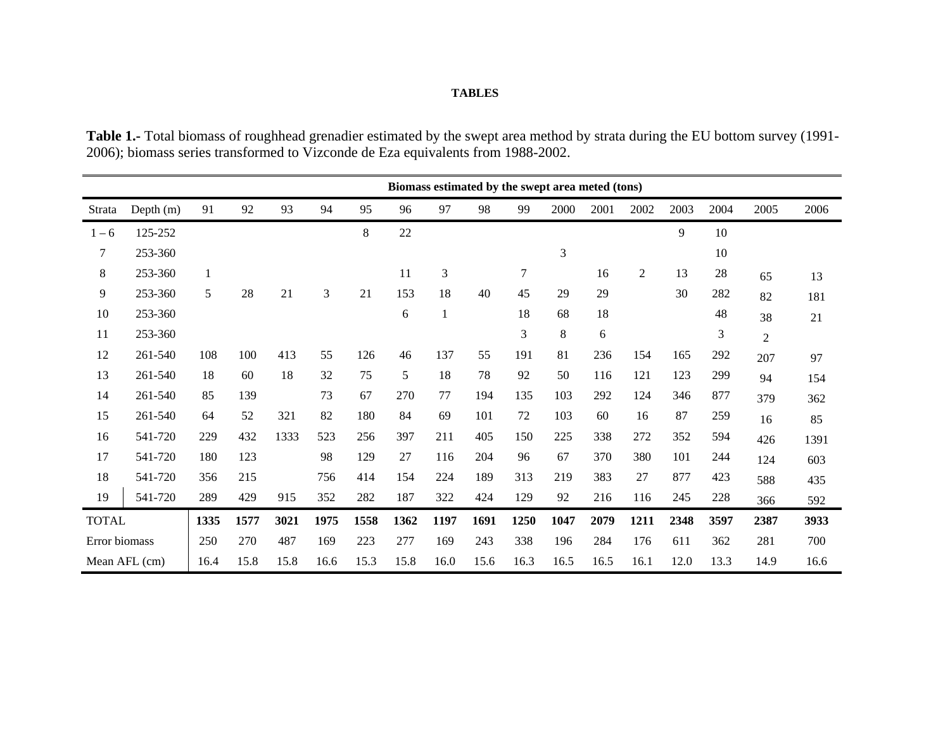#### **TABLES**

**Table 1.-** Total biomass of roughhead grenadier estimated by the swept area method by strata during the EU bottom survey (1991- 2006); biomass series transformed to Vizconde de Eza equivalents from 1988-2002.

|               |               | Biomass estimated by the swept area meted (tons) |      |      |      |      |      |              |      |        |      |      |                |      |      |                |      |
|---------------|---------------|--------------------------------------------------|------|------|------|------|------|--------------|------|--------|------|------|----------------|------|------|----------------|------|
| Strata        | Depth $(m)$   | 91                                               | 92   | 93   | 94   | 95   | 96   | 97           | 98   | 99     | 2000 | 2001 | 2002           | 2003 | 2004 | 2005           | 2006 |
| $1 - 6$       | 125-252       |                                                  |      |      |      | 8    | 22   |              |      |        |      |      |                | 9    | 10   |                |      |
| 7             | 253-360       |                                                  |      |      |      |      |      |              |      |        | 3    |      |                |      | 10   |                |      |
| 8             | 253-360       | $\mathbf{1}$                                     |      |      |      |      | 11   | 3            |      | $\tau$ |      | 16   | $\overline{2}$ | 13   | 28   | 65             | 13   |
| 9             | 253-360       | 5                                                | 28   | 21   | 3    | 21   | 153  | 18           | 40   | 45     | 29   | 29   |                | 30   | 282  | 82             | 181  |
| 10            | 253-360       |                                                  |      |      |      |      | 6    | $\mathbf{1}$ |      | 18     | 68   | 18   |                |      | 48   | 38             | 21   |
| 11            | 253-360       |                                                  |      |      |      |      |      |              |      | 3      | 8    | 6    |                |      | 3    | $\overline{2}$ |      |
| 12            | 261-540       | 108                                              | 100  | 413  | 55   | 126  | 46   | 137          | 55   | 191    | 81   | 236  | 154            | 165  | 292  | 207            | 97   |
| 13            | 261-540       | 18                                               | 60   | 18   | 32   | 75   | 5    | 18           | 78   | 92     | 50   | 116  | 121            | 123  | 299  | 94             | 154  |
| 14            | 261-540       | 85                                               | 139  |      | 73   | 67   | 270  | 77           | 194  | 135    | 103  | 292  | 124            | 346  | 877  | 379            | 362  |
| 15            | 261-540       | 64                                               | 52   | 321  | 82   | 180  | 84   | 69           | 101  | 72     | 103  | 60   | 16             | 87   | 259  | 16             | 85   |
| 16            | 541-720       | 229                                              | 432  | 1333 | 523  | 256  | 397  | 211          | 405  | 150    | 225  | 338  | 272            | 352  | 594  | 426            | 1391 |
| 17            | 541-720       | 180                                              | 123  |      | 98   | 129  | 27   | 116          | 204  | 96     | 67   | 370  | 380            | 101  | 244  | 124            | 603  |
| 18            | 541-720       | 356                                              | 215  |      | 756  | 414  | 154  | 224          | 189  | 313    | 219  | 383  | 27             | 877  | 423  | 588            | 435  |
| 19            | 541-720       | 289                                              | 429  | 915  | 352  | 282  | 187  | 322          | 424  | 129    | 92   | 216  | 116            | 245  | 228  | 366            | 592  |
| <b>TOTAL</b>  |               | 1335                                             | 1577 | 3021 | 1975 | 1558 | 1362 | 1197         | 1691 | 1250   | 1047 | 2079 | 1211           | 2348 | 3597 | 2387           | 3933 |
| Error biomass |               | 250                                              | 270  | 487  | 169  | 223  | 277  | 169          | 243  | 338    | 196  | 284  | 176            | 611  | 362  | 281            | 700  |
|               | Mean AFL (cm) | 16.4                                             | 15.8 | 15.8 | 16.6 | 15.3 | 15.8 | 16.0         | 15.6 | 16.3   | 16.5 | 16.5 | 16.1           | 12.0 | 13.3 | 14.9           | 16.6 |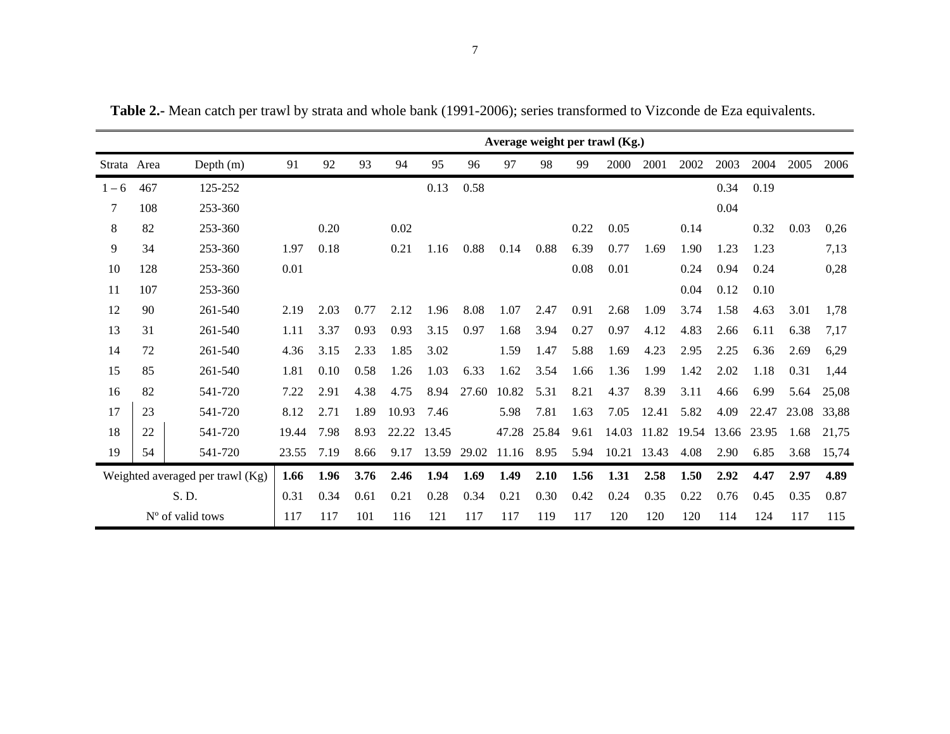|             |     |                                  | Average weight per trawl (Kg.) |      |      |       |       |       |       |       |      |       |       |       |       |       |       |       |
|-------------|-----|----------------------------------|--------------------------------|------|------|-------|-------|-------|-------|-------|------|-------|-------|-------|-------|-------|-------|-------|
| Strata Area |     | Depth $(m)$                      | 91                             | 92   | 93   | 94    | 95    | 96    | 97    | 98    | 99   | 2000  | 2001  | 2002  | 2003  | 2004  | 2005  | 2006  |
| $1 - 6$     | 467 | 125-252                          |                                |      |      |       | 0.13  | 0.58  |       |       |      |       |       |       | 0.34  | 0.19  |       |       |
| 7           | 108 | 253-360                          |                                |      |      |       |       |       |       |       |      |       |       |       | 0.04  |       |       |       |
| $\,8\,$     | 82  | 253-360                          |                                | 0.20 |      | 0.02  |       |       |       |       | 0.22 | 0.05  |       | 0.14  |       | 0.32  | 0.03  | 0,26  |
| 9           | 34  | 253-360                          | 1.97                           | 0.18 |      | 0.21  | 1.16  | 0.88  | 0.14  | 0.88  | 6.39 | 0.77  | 1.69  | 1.90  | 1.23  | 1.23  |       | 7,13  |
| 10          | 128 | 253-360                          | 0.01                           |      |      |       |       |       |       |       | 0.08 | 0.01  |       | 0.24  | 0.94  | 0.24  |       | 0,28  |
| 11          | 107 | 253-360                          |                                |      |      |       |       |       |       |       |      |       |       | 0.04  | 0.12  | 0.10  |       |       |
| 12          | 90  | 261-540                          | 2.19                           | 2.03 | 0.77 | 2.12  | 1.96  | 8.08  | 1.07  | 2.47  | 0.91 | 2.68  | 1.09  | 3.74  | 1.58  | 4.63  | 3.01  | 1,78  |
| 13          | 31  | 261-540                          | 1.11                           | 3.37 | 0.93 | 0.93  | 3.15  | 0.97  | 1.68  | 3.94  | 0.27 | 0.97  | 4.12  | 4.83  | 2.66  | 6.11  | 6.38  | 7,17  |
| 14          | 72  | 261-540                          | 4.36                           | 3.15 | 2.33 | 1.85  | 3.02  |       | 1.59  | 1.47  | 5.88 | 1.69  | 4.23  | 2.95  | 2.25  | 6.36  | 2.69  | 6,29  |
| 15          | 85  | 261-540                          | 1.81                           | 0.10 | 0.58 | 1.26  | 1.03  | 6.33  | 1.62  | 3.54  | 1.66 | 1.36  | 1.99  | 1.42  | 2.02  | 1.18  | 0.31  | 1,44  |
| 16          | 82  | 541-720                          | 7.22                           | 2.91 | 4.38 | 4.75  | 8.94  | 27.60 | 10.82 | 5.31  | 8.21 | 4.37  | 8.39  | 3.11  | 4.66  | 6.99  | 5.64  | 25,08 |
| 17          | 23  | 541-720                          | 8.12                           | 2.71 | 1.89 | 10.93 | 7.46  |       | 5.98  | 7.81  | 1.63 | 7.05  | 12.41 | 5.82  | 4.09  | 22.47 | 23.08 | 33,88 |
| 18          | 22  | 541-720                          | 19.44                          | 7.98 | 8.93 | 22.22 | 13.45 |       | 47.28 | 25.84 | 9.61 | 14.03 | 11.82 | 19.54 | 13.66 | 23.95 | 1.68  | 21,75 |
| 19          | 54  | 541-720                          | 23.55                          | 7.19 | 8.66 | 9.17  | 13.59 | 29.02 | 11.16 | 8.95  | 5.94 | 10.21 | 13.43 | 4.08  | 2.90  | 6.85  | 3.68  | 15,74 |
|             |     | Weighted averaged per trawl (Kg) | 1.66                           | 1.96 | 3.76 | 2.46  | 1.94  | 1.69  | 1.49  | 2.10  | 1.56 | 1.31  | 2.58  | 1.50  | 2.92  | 4.47  | 2.97  | 4.89  |
|             |     | S. D.                            | 0.31                           | 0.34 | 0.61 | 0.21  | 0.28  | 0.34  | 0.21  | 0.30  | 0.42 | 0.24  | 0.35  | 0.22  | 0.76  | 0.45  | 0.35  | 0.87  |
|             |     | N° of valid tows                 | 117                            | 117  | 101  | 116   | 121   | 117   | 117   | 119   | 117  | 120   | 120   | 120   | 114   | 124   | 117   | 115   |

**Table 2.-** Mean catch per trawl by strata and whole bank (1991-2006); series transformed to Vizconde de Eza equivalents.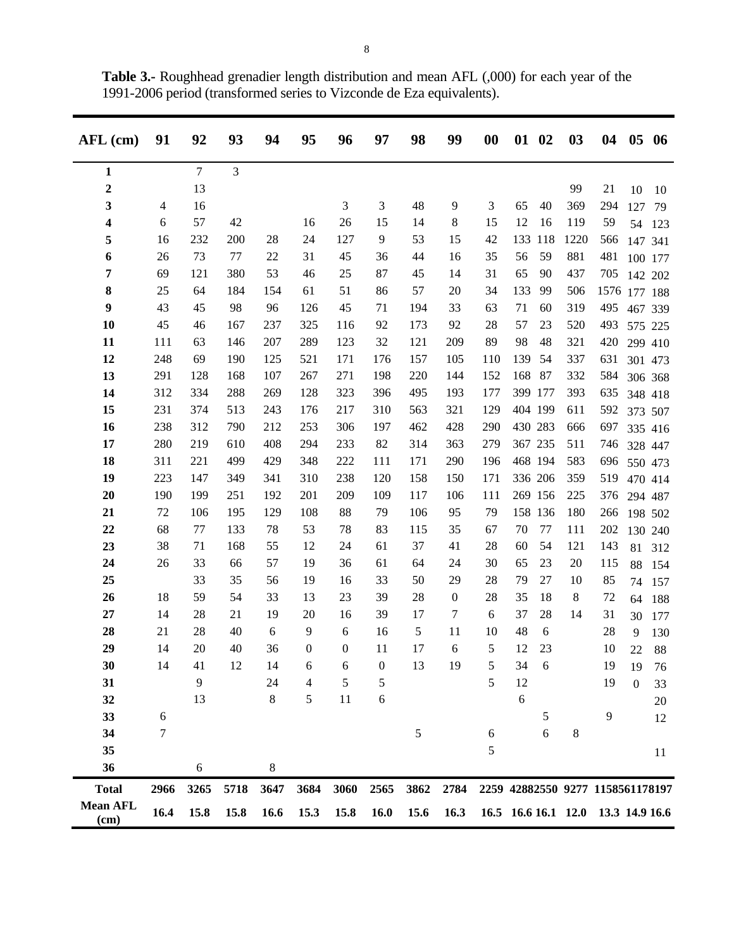| AFL (cm)                | 91             | 92     | 93      | 94   | 95               | 96               | 97               | 98   | 99               | 00  | 01 02   |         | 03                  | 04                               | 05 06            |         |
|-------------------------|----------------|--------|---------|------|------------------|------------------|------------------|------|------------------|-----|---------|---------|---------------------|----------------------------------|------------------|---------|
| 1                       |                | $\tau$ | 3       |      |                  |                  |                  |      |                  |     |         |         |                     |                                  |                  |         |
| $\boldsymbol{2}$        |                | 13     |         |      |                  |                  |                  |      |                  |     |         |         | 99                  | 21                               | 10               | 10      |
| 3                       | $\overline{4}$ | 16     |         |      |                  | 3                | 3                | 48   | 9                | 3   | 65      | 40      | 369                 | 294                              | 127              | 79      |
| 4                       | 6              | 57     | 42      |      | 16               | 26               | 15               | 14   | 8                | 15  | 12      | 16      | 119                 | 59                               | 54               | 123     |
| 5                       | 16             | 232    | 200     | 28   | 24               | 127              | 9                | 53   | 15               | 42  | 133     | 118     | 1220                | 566                              | 147 341          |         |
| 6                       | 26             | 73     | $77 \,$ | 22   | 31               | 45               | 36               | 44   | 16               | 35  | 56      | 59      | 881                 | 481                              |                  | 100 177 |
| 7                       | 69             | 121    | 380     | 53   | 46               | 25               | 87               | 45   | 14               | 31  | 65      | 90      | 437                 | 705                              | 142 202          |         |
| 8                       | 25             | 64     | 184     | 154  | 61               | 51               | 86               | 57   | 20               | 34  | 133     | 99      | 506                 | 1576 177 188                     |                  |         |
| 9                       | 43             | 45     | 98      | 96   | 126              | 45               | 71               | 194  | 33               | 63  | 71      | 60      | 319                 | 495                              | 467 339          |         |
| 10                      | 45             | 46     | 167     | 237  | 325              | 116              | 92               | 173  | 92               | 28  | 57      | 23      | 520                 | 493                              | 575 225          |         |
| 11                      | 111            | 63     | 146     | 207  | 289              | 123              | 32               | 121  | 209              | 89  | 98      | 48      | 321                 | 420                              | 299 410          |         |
| 12                      | 248            | 69     | 190     | 125  | 521              | 171              | 176              | 157  | 105              | 110 | 139     | 54      | 337                 | 631                              |                  | 301 473 |
| 13                      | 291            | 128    | 168     | 107  | 267              | 271              | 198              | 220  | 144              | 152 | 168     | 87      | 332                 | 584                              | 306 368          |         |
| 14                      | 312            | 334    | 288     | 269  | 128              | 323              | 396              | 495  | 193              | 177 |         | 399 177 | 393                 | 635                              |                  | 348 418 |
| 15                      | 231            | 374    | 513     | 243  | 176              | 217              | 310              | 563  | 321              | 129 | 404 199 |         | 611                 | 592                              | 373 507          |         |
| 16                      | 238            | 312    | 790     | 212  | 253              | 306              | 197              | 462  | 428              | 290 | 430 283 |         | 666                 | 697                              |                  | 335 416 |
| 17                      | 280            | 219    | 610     | 408  | 294              | 233              | 82               | 314  | 363              | 279 |         | 367 235 | 511                 | 746                              |                  | 328 447 |
| 18                      | 311            | 221    | 499     | 429  | 348              | 222              | 111              | 171  | 290              | 196 |         | 468 194 | 583                 | 696                              | 550 473          |         |
| 19                      | 223            | 147    | 349     | 341  | 310              | 238              | 120              | 158  | 150              | 171 |         | 336 206 | 359                 | 519                              | 470 414          |         |
| 20                      | 190            | 199    | 251     | 192  | 201              | 209              | 109              | 117  | 106              | 111 |         | 269 156 | 225                 | 376                              | 294 487          |         |
| 21                      | 72             | 106    | 195     | 129  | 108              | 88               | 79               | 106  | 95               | 79  |         | 158 136 | 180                 | 266                              | 198 502          |         |
| 22                      | 68             | 77     | 133     | 78   | 53               | 78               | 83               | 115  | 35               | 67  | 70      | 77      | 111                 | 202                              |                  | 130 240 |
| 23                      | 38             | 71     | 168     | 55   | 12               | 24               | 61               | 37   | 41               | 28  | 60      | 54      | 121                 | 143                              | 81               | 312     |
| 24                      | 26             | 33     | 66      | 57   | 19               | 36               | 61               | 64   | 24               | 30  | 65      | 23      | 20                  | 115                              | 88               | 154     |
| 25                      |                | 33     | 35      | 56   | 19               | 16               | 33               | 50   | 29               | 28  | 79      | 27      | 10                  | 85                               | 74               | 157     |
| 26                      | 18             | 59     | 54      | 33   | 13               | 23               | 39               | 28   | $\boldsymbol{0}$ | 28  | 35      | 18      | 8                   | 72                               | 64               | 188     |
| 27                      | 14             | 28     | 21      | 19   | 20               | 16               | 39               | 17   | 7                | 6   | 37      | 28      | 14                  | 31                               | 30               | 177     |
| 28                      | 21             | 28     | 40      | 6    | 9                | 6                | 16               | 5    | 11               | 10  | 48      | 6       |                     | 28                               | 9                | 130     |
| 29                      | 14             | 20     | 40      | 36   | $\boldsymbol{0}$ | $\boldsymbol{0}$ | 11               | 17   | 6                | 5   | 12      | 23      |                     | 10                               | 22               | 88      |
| 30                      | 14             | 41     | 12      | 14   | 6                | 6                | $\boldsymbol{0}$ | 13   | 19               | 5   | 34      | 6       |                     | 19                               | 19               | 76      |
| 31                      |                | 9      |         | 24   | 4                | 5                | 5                |      |                  | 5   | 12      |         |                     | 19                               | $\boldsymbol{0}$ | 33      |
| 32                      |                | 13     |         | 8    | 5                | 11               | 6                |      |                  |     | 6       |         |                     |                                  |                  | 20      |
| 33                      | 6              |        |         |      |                  |                  |                  |      |                  |     |         | 5       |                     | 9                                |                  | 12      |
| 34                      | 7              |        |         |      |                  |                  |                  | 5    |                  | 6   |         | 6       | 8                   |                                  |                  |         |
| 35                      |                |        |         |      |                  |                  |                  |      |                  | 5   |         |         |                     |                                  |                  | 11      |
| 36                      |                | 6      |         | 8    |                  |                  |                  |      |                  |     |         |         |                     |                                  |                  |         |
| <b>Total</b>            | 2966           | 3265   | 5718    | 3647 | 3684             | 3060             | 2565             | 3862 | 2784             |     |         |         |                     | 2259 42882550 9277 1158561178197 |                  |         |
| <b>Mean AFL</b><br>(cm) | 16.4           | 15.8   | 15.8    | 16.6 | 15.3             | 15.8             | 16.0             | 15.6 | 16.3             |     |         |         | 16.5 16.6 16.1 12.0 | 13.3 14.9 16.6                   |                  |         |

**Table 3.-** Roughhead grenadier length distribution and mean AFL (,000) for each year of the 1991-2006 period (transformed series to Vizconde de Eza equivalents).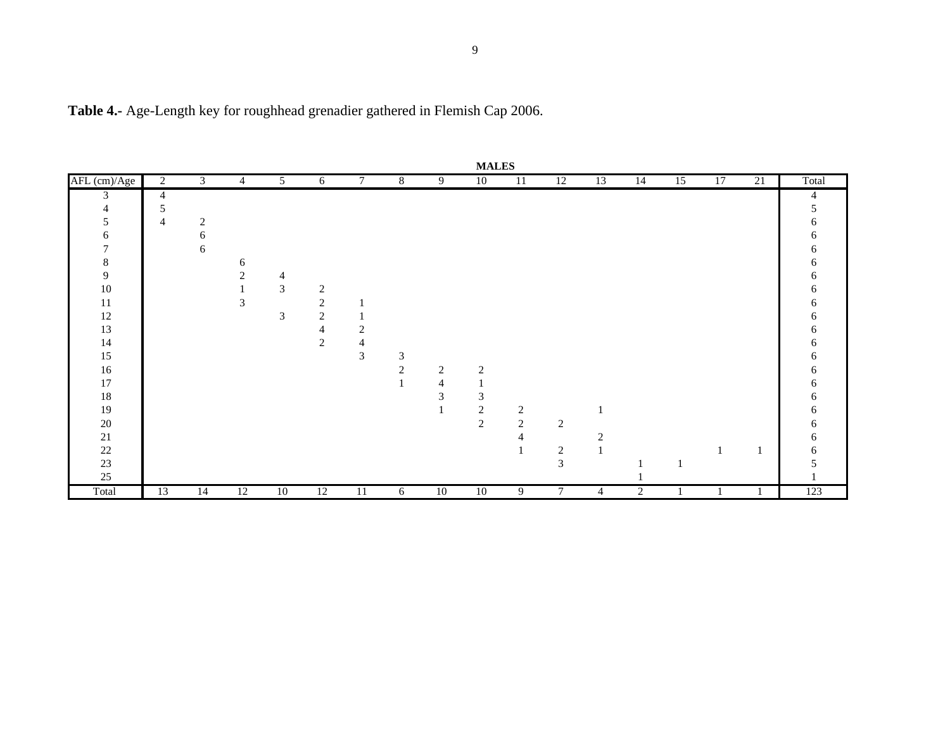|                |                |                |                |                |                |                |                             |                | <b>MALES</b>   |                |                |    |    |    |    |    |              |
|----------------|----------------|----------------|----------------|----------------|----------------|----------------|-----------------------------|----------------|----------------|----------------|----------------|----|----|----|----|----|--------------|
| AFL (cm)/Age   | 2              | $\mathfrak{Z}$ | 4              | 5              | 6              | 7              | 8                           | 9              | 10             | 11             | 12             | 13 | 14 | 15 | 17 | 21 | Total        |
| 3              | $\overline{4}$ |                |                |                |                |                |                             |                |                |                |                |    |    |    |    |    | 4            |
| $\overline{4}$ | 5              |                |                |                |                |                |                             |                |                |                |                |    |    |    |    |    |              |
| 5              | $\overline{4}$ | $\overline{2}$ |                |                |                |                |                             |                |                |                |                |    |    |    |    |    | 6            |
| 6              |                | 6              |                |                |                |                |                             |                |                |                |                |    |    |    |    |    | 6            |
| $\tau$         |                | 6              |                |                |                |                |                             |                |                |                |                |    |    |    |    |    | 6            |
| $8\,$          |                |                | 6              |                |                |                |                             |                |                |                |                |    |    |    |    |    | 6            |
| 9              |                |                | $\overline{c}$ | $\overline{4}$ |                |                |                             |                |                |                |                |    |    |    |    |    | O            |
| $10\,$         |                |                |                | $\mathfrak{Z}$ | $\sqrt{2}$     |                |                             |                |                |                |                |    |    |    |    |    | 6            |
| 11             |                |                | 3              |                | $\sqrt{2}$     |                |                             |                |                |                |                |    |    |    |    |    | 6            |
| 12             |                |                |                | $\mathfrak{Z}$ | $\sqrt{2}$     |                |                             |                |                |                |                |    |    |    |    |    | 6            |
| 13             |                |                |                |                | 4              | $\overline{2}$ |                             |                |                |                |                |    |    |    |    |    | <sub>0</sub> |
| 14             |                |                |                |                | $\overline{2}$ | 4              |                             |                |                |                |                |    |    |    |    |    | 6            |
| 15             |                |                |                |                |                | 3              | $\ensuremath{\mathfrak{Z}}$ |                |                |                |                |    |    |    |    |    | 6            |
| $16\,$         |                |                |                |                |                |                | $\boldsymbol{2}$            | $\overline{2}$ | $\overline{c}$ |                |                |    |    |    |    |    | 6            |
| 17             |                |                |                |                |                |                |                             | $\overline{4}$ |                |                |                |    |    |    |    |    | 6            |
| 18             |                |                |                |                |                |                |                             | 3              | $\mathfrak{Z}$ |                |                |    |    |    |    |    | 6            |
| 19             |                |                |                |                |                |                |                             | - 1            | $\sqrt{2}$     | 2              |                |    |    |    |    |    | 6            |
| $20\,$         |                |                |                |                |                |                |                             |                | $\overline{2}$ | $\overline{c}$ | 2              |    |    |    |    |    | 6            |
| $21\,$         |                |                |                |                |                |                |                             |                |                | 4              |                | 2  |    |    |    |    | 6            |
| $22\,$         |                |                |                |                |                |                |                             |                |                |                | $\overline{c}$ |    |    |    |    | 1  | 6            |
| 23             |                |                |                |                |                |                |                             |                |                |                | 3              |    |    |    |    |    |              |
| 25             |                |                |                |                |                |                |                             |                |                |                |                |    |    |    |    |    |              |
| Total          | 13             | 14             | 12             | 10             | 12             | 11             | 6                           | 10             | 10             | 9              | $\tau$         | 4  | 2  |    |    |    | 123          |

**Table 4.-** Age-Length key for roughhead grenadier gathered in Flemish Cap 2006.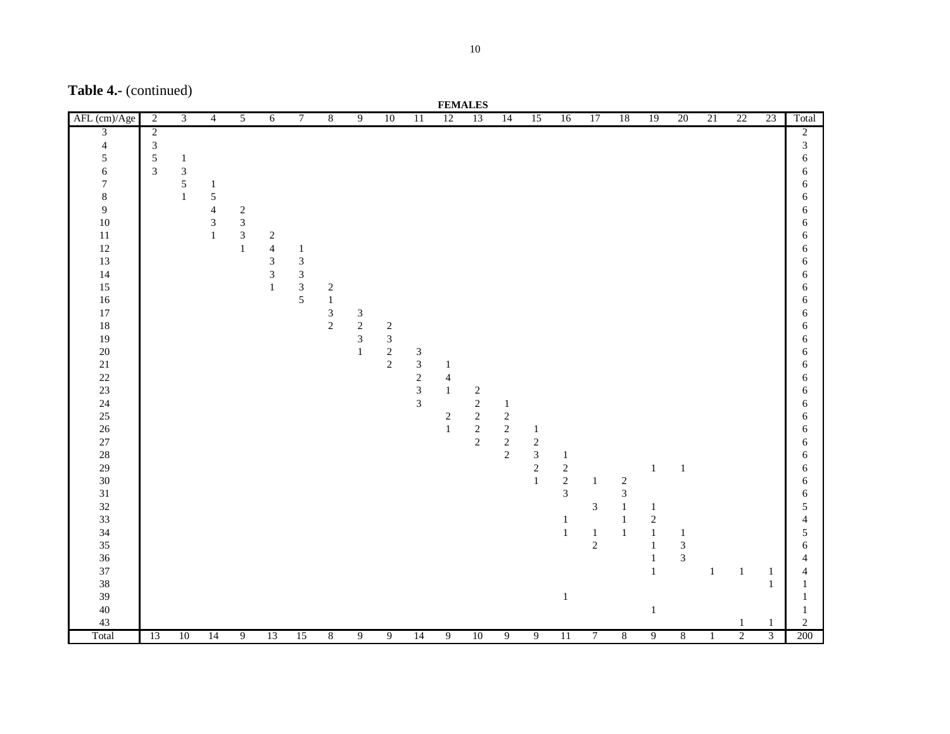|  | <b>Table 4.-</b> (continued) |
|--|------------------------------|
|--|------------------------------|

|                  |                |                |                |                |                |                  |                                       |                |                                       |                                            | <b>FEMALES</b> |                                                 |                                            |                                       |                          |                |                              |              |                |              |                |                |                  |
|------------------|----------------|----------------|----------------|----------------|----------------|------------------|---------------------------------------|----------------|---------------------------------------|--------------------------------------------|----------------|-------------------------------------------------|--------------------------------------------|---------------------------------------|--------------------------|----------------|------------------------------|--------------|----------------|--------------|----------------|----------------|------------------|
| AFL (cm)/Age     | $\overline{2}$ | $\overline{3}$ | $\overline{4}$ | $\overline{5}$ | 6              | $7\phantom{.0}$  | $\overline{8}$                        | $\overline{9}$ | 10                                    | 11                                         | 12             | 13                                              | 14                                         | 15                                    | 16                       | 17             | 18                           | 19           | 20             | 21           | 22             | 23             | Total            |
| $\overline{3}$   | $\overline{c}$ |                |                |                |                |                  |                                       |                |                                       |                                            |                |                                                 |                                            |                                       |                          |                |                              |              |                |              |                |                | $\overline{c}$   |
| $\overline{4}$   | $\sqrt{3}$     |                |                |                |                |                  |                                       |                |                                       |                                            |                |                                                 |                                            |                                       |                          |                |                              |              |                |              |                |                | $\mathfrak{Z}$   |
| $\sqrt{5}$       | $\sqrt{5}$     | $\mathbf{1}$   |                |                |                |                  |                                       |                |                                       |                                            |                |                                                 |                                            |                                       |                          |                |                              |              |                |              |                |                | 6                |
| $\sqrt{6}$       | $\overline{3}$ | $\sqrt{3}$     |                |                |                |                  |                                       |                |                                       |                                            |                |                                                 |                                            |                                       |                          |                |                              |              |                |              |                |                | 6                |
| $\boldsymbol{7}$ |                | $\sqrt{5}$     | $\,1\,$        |                |                |                  |                                       |                |                                       |                                            |                |                                                 |                                            |                                       |                          |                |                              |              |                |              |                |                | 6                |
| $\,8$            |                | $\mathbf{1}$   | $\frac{5}{4}$  |                |                |                  |                                       |                |                                       |                                            |                |                                                 |                                            |                                       |                          |                |                              |              |                |              |                |                | 6                |
| $\boldsymbol{9}$ |                |                |                | $\sqrt{2}$     |                |                  |                                       |                |                                       |                                            |                |                                                 |                                            |                                       |                          |                |                              |              |                |              |                |                | 6                |
| 10               |                |                | $\frac{3}{1}$  | $\frac{3}{3}$  |                |                  |                                       |                |                                       |                                            |                |                                                 |                                            |                                       |                          |                |                              |              |                |              |                |                | 6                |
| $11\,$<br>$12\,$ |                |                |                | $\,1\,$        | $\sqrt{2}$     |                  |                                       |                |                                       |                                            |                |                                                 |                                            |                                       |                          |                |                              |              |                |              |                |                | 6                |
| 13               |                |                |                |                | $\overline{4}$ | -1<br>$\sqrt{3}$ |                                       |                |                                       |                                            |                |                                                 |                                            |                                       |                          |                |                              |              |                |              |                |                | 6<br>6           |
| 14               |                |                |                |                | $\frac{3}{3}$  | $\mathfrak{Z}$   |                                       |                |                                       |                                            |                |                                                 |                                            |                                       |                          |                |                              |              |                |              |                |                | 6                |
| 15               |                |                |                |                | $\mathbf{1}$   | $\mathfrak{Z}$   | $\overline{c}$                        |                |                                       |                                            |                |                                                 |                                            |                                       |                          |                |                              |              |                |              |                |                | 6                |
| 16               |                |                |                |                |                | $\mathfrak{S}$   | $\,1\,$                               |                |                                       |                                            |                |                                                 |                                            |                                       |                          |                |                              |              |                |              |                |                | 6                |
| $17\,$           |                |                |                |                |                |                  |                                       | $\mathfrak{Z}$ |                                       |                                            |                |                                                 |                                            |                                       |                          |                |                              |              |                |              |                |                | 6                |
| 18               |                |                |                |                |                |                  | $\begin{array}{c} 3 \\ 2 \end{array}$ | $\sqrt{2}$     |                                       |                                            |                |                                                 |                                            |                                       |                          |                |                              |              |                |              |                |                | 6                |
| 19               |                |                |                |                |                |                  |                                       | $\mathfrak{Z}$ | $\frac{2}{3}$                         |                                            |                |                                                 |                                            |                                       |                          |                |                              |              |                |              |                |                | 6                |
| $20\,$           |                |                |                |                |                |                  |                                       | $\mathbf 1$    | $\begin{array}{c} 2 \\ 2 \end{array}$ | $\sqrt{3}$                                 |                |                                                 |                                            |                                       |                          |                |                              |              |                |              |                |                | 6                |
| $21\,$           |                |                |                |                |                |                  |                                       |                |                                       | $\mathfrak{Z}$                             | $\mathbf{1}$   |                                                 |                                            |                                       |                          |                |                              |              |                |              |                |                | 6                |
| $22\,$           |                |                |                |                |                |                  |                                       |                |                                       |                                            | $\overline{4}$ |                                                 |                                            |                                       |                          |                |                              |              |                |              |                |                | 6                |
| 23               |                |                |                |                |                |                  |                                       |                |                                       | $\begin{array}{c} 2 \\ 3 \\ 3 \end{array}$ | $\mathbf{1}$   |                                                 |                                            |                                       |                          |                |                              |              |                |              |                |                | 6                |
| 24               |                |                |                |                |                |                  |                                       |                |                                       |                                            |                | $\begin{array}{c} 2 \\ 2 \\ 2 \\ 2 \end{array}$ | $\mathbf{1}$                               |                                       |                          |                |                              |              |                |              |                |                | 6                |
| $25\,$           |                |                |                |                |                |                  |                                       |                |                                       |                                            | $\sqrt{2}$     |                                                 | $\sqrt{2}$                                 |                                       |                          |                |                              |              |                |              |                |                | 6                |
| $26\,$           |                |                |                |                |                |                  |                                       |                |                                       |                                            | $\mathbf 1$    |                                                 | $\sqrt{2}$                                 | $\mathbf{1}$                          |                          |                |                              |              |                |              |                |                | 6                |
| $27\,$           |                |                |                |                |                |                  |                                       |                |                                       |                                            |                |                                                 | $\begin{smallmatrix}2\\2\end{smallmatrix}$ | $\begin{array}{c} 2 \\ 3 \end{array}$ |                          |                |                              |              |                |              |                |                | 6                |
| $28\,$           |                |                |                |                |                |                  |                                       |                |                                       |                                            |                |                                                 |                                            |                                       | $\mathbf{1}$             |                |                              |              |                |              |                |                | 6                |
| $29\,$           |                |                |                |                |                |                  |                                       |                |                                       |                                            |                |                                                 |                                            | $\sqrt{2}$                            | $\sqrt{2}$<br>$\sqrt{2}$ |                |                              | $\,1$        | $\,1\,$        |              |                |                | 6                |
| $30\,$<br>31     |                |                |                |                |                |                  |                                       |                |                                       |                                            |                |                                                 |                                            | $\,1\,$                               | $\overline{3}$           | $\mathbf{1}$   | $\sqrt{2}$<br>$\mathfrak{Z}$ |              |                |              |                |                | 6                |
| $32\,$           |                |                |                |                |                |                  |                                       |                |                                       |                                            |                |                                                 |                                            |                                       |                          | $\mathfrak{Z}$ | $\,1\,$                      | $\mathbf{1}$ |                |              |                |                | 6<br>5           |
| 33               |                |                |                |                |                |                  |                                       |                |                                       |                                            |                |                                                 |                                            |                                       | $\mathbf{1}$             |                | $\,1\,$                      | $\sqrt{2}$   |                |              |                |                | $\overline{4}$   |
| 34               |                |                |                |                |                |                  |                                       |                |                                       |                                            |                |                                                 |                                            |                                       | $\,1\,$                  | $\,1\,$        | $\mathbf 1$                  | $\,1\,$      | $\,1\,$        |              |                |                | 5                |
| 35               |                |                |                |                |                |                  |                                       |                |                                       |                                            |                |                                                 |                                            |                                       |                          | $\sqrt{2}$     |                              | $\mathbf{1}$ | $\sqrt{3}$     |              |                |                | 6                |
| 36               |                |                |                |                |                |                  |                                       |                |                                       |                                            |                |                                                 |                                            |                                       |                          |                |                              | $\,1\,$      | $\mathfrak{Z}$ |              |                |                | 4                |
| 37               |                |                |                |                |                |                  |                                       |                |                                       |                                            |                |                                                 |                                            |                                       |                          |                |                              | $\,1\,$      |                | $\mathbf{1}$ | 1              | $\mathbf{1}$   | 4                |
| 38               |                |                |                |                |                |                  |                                       |                |                                       |                                            |                |                                                 |                                            |                                       |                          |                |                              |              |                |              |                | 1              | $\mathbf{1}$     |
| 39               |                |                |                |                |                |                  |                                       |                |                                       |                                            |                |                                                 |                                            |                                       | $\mathbf{1}$             |                |                              |              |                |              |                |                | 1                |
| $40\,$           |                |                |                |                |                |                  |                                       |                |                                       |                                            |                |                                                 |                                            |                                       |                          |                |                              | $\mathbf{1}$ |                |              |                |                | $\mathbf{1}$     |
| $43\,$           |                |                |                |                |                |                  |                                       |                |                                       |                                            |                |                                                 |                                            |                                       |                          |                |                              |              |                |              |                | -1             | $\boldsymbol{2}$ |
| Total            | 13             | 10             | 14             | 9              | 13             | 15               | $\sqrt{8}$                            | 9              | 9                                     | 14                                         | 9              | $10\,$                                          | 9                                          | 9                                     | 11                       | 7              | 8                            | 9            | 8              | $\mathbf{1}$ | $\overline{2}$ | $\overline{3}$ | 200              |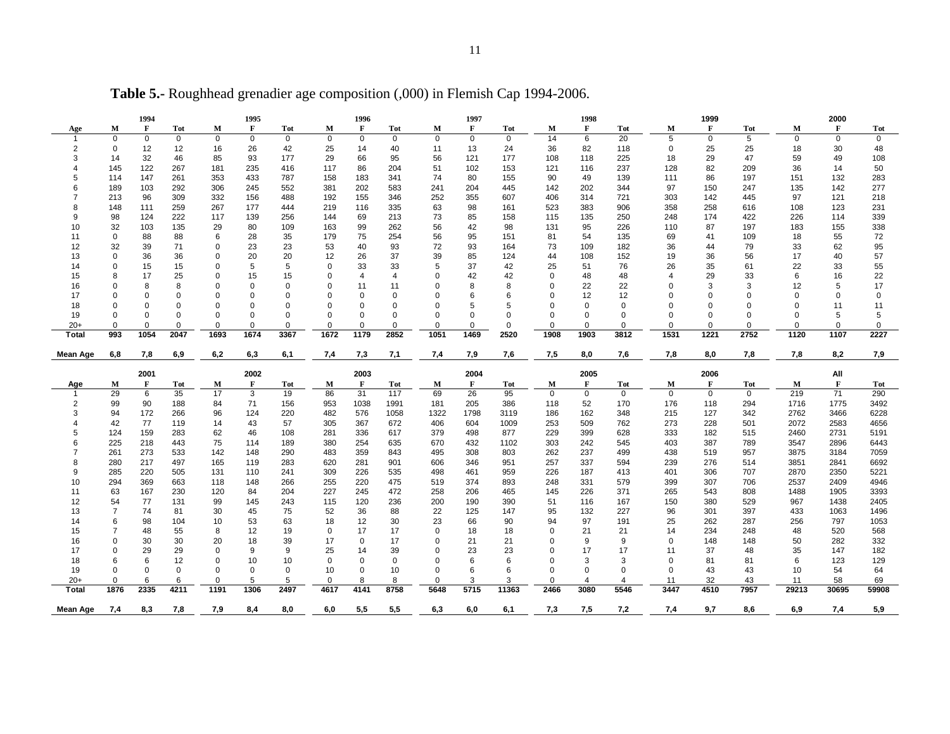|                       |                         | 1994        |                |                | 1995           |                |                     | 1996              |                   |                            | 1997         |             |               | 1998        |                  |                | 1999           |              |             | 2000        |             |
|-----------------------|-------------------------|-------------|----------------|----------------|----------------|----------------|---------------------|-------------------|-------------------|----------------------------|--------------|-------------|---------------|-------------|------------------|----------------|----------------|--------------|-------------|-------------|-------------|
| Age                   | M                       | F           | <b>Tot</b>     | М              | F              | <b>Tot</b>     | M                   | F                 | <b>Tot</b>        | М                          | $\mathbf{F}$ | <b>Tot</b>  | М             | F           | Tot              | М              | F              | Tot          | M           | F           | Tot         |
| $\overline{1}$        | $\mathbf 0$             | $\mathsf 0$ | $\mathbf 0$    | $\mathsf 0$    | $\mathbf 0$    | 0              | $\mathbf 0$         | $\mathbf 0$       | $\mathbf 0$       | $\mathsf 0$                | $\mathbf 0$  | $\mathbf 0$ | 14            | 6           | 20               | 5              | $\mathsf 0$    | 5            | $\mathbf 0$ | $\mathbf 0$ | 0           |
| $\overline{2}$        | 0                       | 12          | 12             | 16             | 26             | 42             | 25                  | 14                | 40                | 11                         | 13           | 24          | 36            | 82          | 118              | 0              | 25             | 25           | 18          | 30          | 48          |
| 3                     | 14                      | 32          | 46             | 85             | 93             | 177            | 29                  | 66                | 95                | 56                         | 121          | 177         | 108           | 118         | 225              | 18             | 29             | 47           | 59          | 49          | 108         |
|                       | 145                     | 122         | 267            | 181            | 235            | 416            | 117                 | 86                | 204               | 51                         | 102          | 153         | 121           | 116         | 237              | 128            | 82             | 209          | 36          | 14          | 50          |
|                       | 114                     | 147         | 261            | 353            | 433            | 787            | 158                 | 183               | 341               | 74                         | 80           | 155         | 90            | 49          | 139              | 111            | 86             | 197          | 151         | 132         | 283         |
|                       | 189                     | 103         | 292            | 306            | 245            | 552            | 381                 | 202               | 583               | 241                        | 204          | 445         | 142           | 202         | 344              | 97             | 150            | 247          | 135         | 142         | 277         |
|                       | 213                     | 96          | 309            | 332            | 156            | 488            | 192                 | 155               | 346               | 252                        | 355          | 607         | 406           | 314         | 721              | 303            | 142            | 445          | 97          | 121         | 218         |
|                       | 148                     | 111         | 259            | 267            | 177            | 444            | 219                 | 116               | 335               | 63                         | 98           | 161         | 523           | 383         | 906              | 358            | 258            | 616          | 108         | 123         | 231         |
| 9                     | 98                      | 124         | 222            | 117            | 139            | 256            | 144                 | 69                | 213               | 73                         | 85           | 158         | 115           | 135         | 250              | 248            | 174            | 422          | 226         | 114         | 339         |
| 10                    | 32                      | 103         | 135            | 29             | 80             | 109            | 163                 | 99                | 262               | 56                         | 42           | 98          | 131           | 95          | 226              | 110            | 87             | 197          | 183         | 155         | 338         |
| 11                    | $\mathbf 0$             | 88          | 88             | 6              | 28             | 35             | 179                 | 75                | 254               | 56                         | 95           | 151         | 81            | 54          | 135              | 69             | 41             | 109          | 18          | 55          | 72          |
| 12                    | 32                      | 39          | 71             | 0              | 23             | 23             | 53                  | 40                | 93                | 72                         | 93           | 164         | 73            | 109         | 182              | 36             | 44             | 79           | 33          | 62          | 95          |
| 13                    | $\mathbf 0$             | 36          | 36             | $\mathbf 0$    | 20             | 20             | 12                  | 26                | 37                | 39                         | 85           | 124         | 44            | 108         | 152              | 19             | 36             | 56           | 17          | 40          | 57          |
| 14                    | $\Omega$                | 15          | 15             | $\Omega$       | 5              | 5              | $\mathbf 0$         | 33                | 33                | 5                          | 37           | 42          | 25            | 51          | 76               | 26             | 35             | 61           | 22          | 33          | 55          |
| 15                    | 8                       | 17          | 25             | $\mathbf 0$    | 15             | 15             | 0                   | $\overline{4}$    | $\overline{4}$    | $\mathbf 0$                | 42           | 42          | 0             | 48          | 48               | $\overline{4}$ | 29             | 33           | 6           | 16          | 22          |
| 16                    | $\Omega$                | 8           | 8              | $\Omega$       | $\Omega$       | $\Omega$       | $\Omega$            | 11                | 11                | $\Omega$                   | 8            | 8           | $\Omega$      | 22          | 22               | $\Omega$       | 3              | 3            | 12          | 5           | 17          |
| 17                    | $\Omega$                | 0           | 0              | $\Omega$       | 0              | $\Omega$       | 0                   | $\Omega$          | $\mathbf 0$       | $\Omega$                   | 6            | 6           | $\Omega$      | 12          | 12               | $\Omega$       | $\Omega$       | $\Omega$     | $\Omega$    | $\mathbf 0$ | 0           |
| 18                    | $\Omega$                | $\circ$     | 0              | $\Omega$       | 0              | $\Omega$       | $\mathbf 0$         | $\mathbf 0$       | 0                 | $\mathbf 0$                | 5            | 5           | $\Omega$      | $\mathbf 0$ | 0                | $\Omega$       | $\overline{0}$ | 0            | 0           | 11          | 11          |
| 19                    | $\Omega$                | $\Omega$    | 0              | $\Omega$       | $\Omega$       | $\Omega$       | $\Omega$            | $\Omega$          | 0                 | $\Omega$                   | 0            | $\Omega$    | $\Omega$      | $\Omega$    | 0                | $\Omega$       | $\Omega$       | $\Omega$     | 0           | 5           | 5           |
| $20+$                 | $\Omega$                | $\circ$     | O              | 0              | $\Omega$       | $\Omega$       | $\Omega$            | $\Omega$          | $\Omega$          | 0                          | 0            | 0           | $\Omega$      | $\Omega$    | 0                | $\Omega$       | 0              | $\Omega$     | $\Omega$    | $\mathbf 0$ | $\Omega$    |
| Total                 | 993                     | 1054        | 2047           | 1693           | 1674           | 3367           | 1672                | 1179              | 2852              | 1051                       | 1469         | 2520        | 1908          | 1903        | 3812             | 1531           | 1221           | 2752         | 1120        | 1107        | 2227        |
| Mean Age              | 6,8                     | 7,8         | 6,9            | 6,2            | 6,3            | 6,1            | 7,4                 | 7,3               | 7,1               | 7,4                        | 7,9          | 7,6         | 7,5           | 8,0         | 7,6              | 7,8            | 8,0            | 7,8          | 7,8         | 8,2         | 7,9         |
|                       |                         |             |                |                |                |                |                     |                   |                   |                            |              |             |               |             |                  |                |                |              |             |             |             |
|                       |                         |             |                |                |                |                |                     |                   |                   |                            |              |             |               |             |                  |                |                |              |             |             |             |
|                       |                         | 2001        |                |                | 2002           |                |                     | 2003              |                   |                            | 2004         |             |               | 2005        |                  |                | 2006           |              |             | All         |             |
| Age                   | М                       | $\mathbf F$ | Tot            | М              | $\mathbf{F}$   | Tot            | М                   | $\mathbf F$       | Tot               | М                          | F            | <b>Tot</b>  | M             | F           | Tot              | M              | F              | Tot          | М           | F           | Tot         |
| $\overline{1}$        | 29                      | 6           | 35             | 17             | 3              | 19             | 86                  | 31                | 117               | 69                         | 26           | 95          | $\mathbf 0$   | $\mathbf 0$ | $\mathbf 0$      | $\overline{0}$ | $\mathbf 0$    | $\mathbf{0}$ | 219         | 71          | 290         |
| 2                     | 99                      | 90          | 188            | 84             | 71             | 156            | 953                 | 1038              | 1991              | 181                        | 205          | 386         | 118           | 52          | 170              | 176            | 118            | 294          | 1716        | 1775        | 3492        |
| 3                     | 94                      | 172         | 266            | 96             | 124            | 220            | 482                 | 576               | 1058              | 1322                       | 1798         | 3119        | 186           | 162         | 348              | 215            | 127            | 342          | 2762        | 3466        | 6228        |
|                       | 42                      | 77          | 119            | 14             | 43             | 57             | 305                 | 367               | 672               | 406                        | 604          | 1009        | 253           | 509         | 762              | 273            | 228            | 501          | 2072        | 2583        | 4656        |
|                       | 124                     | 159         | 283            | 62             | 46             | 108            | 281                 | 336               | 617               | 379                        | 498          | 877         | 229           | 399         | 628              | 333            | 182            | 515          | 2460        | 2731        | 5191        |
|                       | 225                     | 218         | 443            | 75             | 114            | 189            | 380                 | 254               | 635               | 670                        | 432          | 1102        | 303           | 242         | 545              | 403            | 387            | 789          | 3547        | 2896        | 6443        |
|                       | 261                     | 273         | 533            | 142            | 148            | 290            | 483                 | 359               | 843               | 495                        | 308          | 803         | 262           | 237         | 499              | 438            | 519            | 957          | 3875        | 3184        | 7059        |
|                       | 280                     | 217         | 497            | 165            | 119            | 283            | 620                 | 281               | 901               | 606                        | 346          | 951         | 257           | 337         | 594              | 239            | 276            | 514          | 3851        | 2841        | 6692        |
| 9                     | 285                     | 220         | 505            | 131            | 110            | 241            | 309                 | 226               | 535               | 498                        | 461          | 959         | 226           | 187         | 413              | 401            | 306            | 707          | 2870        | 2350        | 5221        |
| 10                    | 294                     | 369         | 663            | 118            | 148            | 266            | 255                 | 220               | 475               | 519                        | 374          | 893         | 248           | 331         | 579              | 399            | 307            | 706          | 2537        | 2409        | 4946        |
| 11                    | 63                      | 167         | 230            | 120            | 84             | 204            | 227                 | 245               | 472               | 258                        | 206          | 465         | 145           | 226         | 371              | 265            | 543            | 808          | 1488        | 1905        | 3393        |
| 12                    | 54<br>7                 | 77          | 131            | 99             | 145            | 243            | 115                 | 120               | 236               | 200                        | 190          | 390         | 51            | 116         | 167              | 150            | 380            | 529          | 967         | 1438        | 2405        |
| 13                    |                         | 74          | 81             | 30             | 45             | 75             | 52                  | 36                | 88                | 22                         | 125          | 147         | 95            | 132         | 227              | 96             | 301            | 397          | 433         | 1063        | 1496        |
| 14                    | 6                       | 98          | 104            | 10             | 53             | 63             | 18                  | 12                | 30                | 23                         | 66           | 90          | 94            | 97          | 191              | 25             | 262            | 287          | 256         | 797         | 1053        |
| 15                    |                         | 48          | 55             | 8              | 12             | 19             | 0                   | 17                | 17                | $\mathbf 0$                | 18           | 18          | 0             | 21          | 21               | 14             | 234            | 248          | 48          | 520         | 568         |
| 16                    | $\mathbf 0$<br>$\Omega$ | 30          | 30             | 20<br>$\Omega$ | 18             | 39             | 17                  | $\mathbf 0$       | 17                | $\mathbf 0$                | 21           | 21          | 0<br>$\Omega$ | 9           | 9                | 0              | 148            | 148          | 50          | 282         | 332         |
| 17                    | 6                       | 29          | 29             | $\mathbf 0$    | 9              | 9              | 25                  | 14<br>$\mathbf 0$ | 39<br>$\mathbf 0$ | $\mathbf 0$<br>$\mathbf 0$ | 23<br>6      | 23<br>6     | $\Omega$      | 17<br>3     | 17               | 11             | 37             | 48           | 35<br>6     | 147         | 182         |
| 18                    | $\Omega$                | 6           | 12<br>$\Omega$ | $\Omega$       | 10<br>$\Omega$ | 10<br>$\Omega$ | 0                   | $\Omega$          |                   | $\Omega$                   | 6            |             | $\Omega$      | $\Omega$    | 3                | 0<br>$\Omega$  | 81             | 81           |             | 123         | 129         |
| 19                    | $\Omega$                | $\mathbf 0$ |                | $\Omega$       |                | 5              | 10                  | 8                 | 10                |                            |              | 6           |               | 4           | $\mathbf 0$<br>4 |                | 43             | 43           | 10          | 54          | 64          |
| $20+$<br><b>Total</b> | 1876                    | 6<br>2335   | 6<br>4211      | 1191           | 5<br>1306      | 2497           | $\mathbf 0$<br>4617 | 4141              | 8<br>8758         | $\mathbf 0$<br>5648        | 3<br>5715    | 3<br>11363  | 0<br>2466     | 3080        | 5546             | 11<br>3447     | 32<br>4510     | 43<br>7957   | 11<br>29213 | 58<br>30695 | 69<br>59908 |

**Table 5.-** Roughhead grenadier age composition (,000) in Flemish Cap 1994-2006.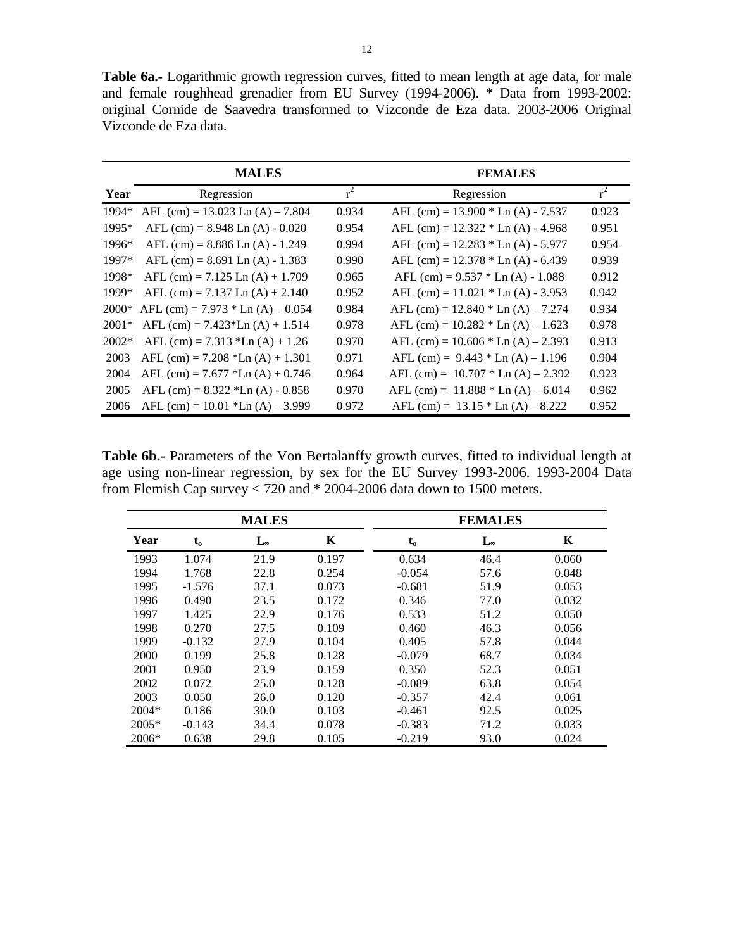**Table 6a.-** Logarithmic growth regression curves, fitted to mean length at age data, for male and female roughhead grenadier from EU Survey (1994-2006). \* Data from 1993-2002: original Cornide de Saavedra transformed to Vizconde de Eza data. 2003-2006 Original Vizconde de Eza data.

|         | <b>MALES</b>                         |       | <b>FEMALES</b>                       |       |
|---------|--------------------------------------|-------|--------------------------------------|-------|
| Year    | Regression                           | $r^2$ | Regression                           | $r^2$ |
| 1994*   | AFL (cm) = $13.023$ Ln (A) $- 7.804$ | 0.934 | AFL (cm) = $13.900 *$ Ln (A) - 7.537 | 0.923 |
| 1995*   | $AFL$ (cm) = 8.948 Ln (A) - 0.020    | 0.954 | AFL (cm) = $12.322 * Ln (A) - 4.968$ | 0.951 |
| 1996*   | $AFL$ (cm) = 8.886 Ln (A) - 1.249    | 0.994 | AFL (cm) = $12.283 * Ln (A) - 5.977$ | 0.954 |
| 1997*   | AFL (cm) = $8.691$ Ln (A) - 1.383    | 0.990 | AFL (cm) = $12.378 * Ln(A) - 6.439$  | 0.939 |
| 1998*   | AFL $(cm) = 7.125$ Ln $(A) + 1.709$  | 0.965 | AFL (cm) = $9.537 *$ Ln (A) - 1.088  | 0.912 |
| 1999*   | AFL (cm) = $7.137$ Ln (A) + $2.140$  | 0.952 | AFL (cm) = $11.021 * Ln(A) - 3.953$  | 0.942 |
| $2000*$ | AFL (cm) = $7.973 *$ Ln (A) – 0.054  | 0.984 | AFL (cm) = $12.840 *$ Ln (A) – 7.274 | 0.934 |
| $2001*$ | AFL (cm) = $7.423*$ Ln (A) + 1.514   | 0.978 | AFL (cm) = $10.282 * Ln (A) – 1.623$ | 0.978 |
| $2002*$ | AFL (cm) = $7.313$ *Ln (A) + 1.26    | 0.970 | AFL (cm) = $10.606 *$ Ln (A) – 2.393 | 0.913 |
| 2003    | AFL (cm) = $7.208$ *Ln (A) + 1.301   | 0.971 | AFL (cm) = $9.443 * Ln (A) - 1.196$  | 0.904 |
| 2004    | AFL (cm) = $7.677$ *Ln (A) + 0.746   | 0.964 | AFL (cm) = $10.707 *$ Ln (A) – 2.392 | 0.923 |
| 2005    | AFL (cm) = $8.322$ *Ln (A) - 0.858   | 0.970 | AFL (cm) = $11.888 * Ln (A) – 6.014$ | 0.962 |
| 2006    | AFL (cm) = $10.01$ *Ln (A) – 3.999   | 0.972 | AFL (cm) = $13.15 *$ Ln (A) – 8.222  | 0.952 |

**Table 6b.-** Parameters of the Von Bertalanffy growth curves, fitted to individual length at age using non-linear regression, by sex for the EU Survey 1993-2006. 1993-2004 Data from Flemish Cap survey < 720 and \* 2004-2006 data down to 1500 meters.

|         |          | <b>MALES</b>          |       |          | <b>FEMALES</b> |       |
|---------|----------|-----------------------|-------|----------|----------------|-------|
| Year    | $t_{o}$  | $\mathbf{L}_{\infty}$ | K     | $t_{o}$  | L®             | K     |
| 1993    | 1.074    | 21.9                  | 0.197 | 0.634    | 46.4           | 0.060 |
| 1994    | 1.768    | 22.8                  | 0.254 | $-0.054$ | 57.6           | 0.048 |
| 1995    | $-1.576$ | 37.1                  | 0.073 | $-0.681$ | 51.9           | 0.053 |
| 1996    | 0.490    | 23.5                  | 0.172 | 0.346    | 77.0           | 0.032 |
| 1997    | 1.425    | 22.9                  | 0.176 | 0.533    | 51.2           | 0.050 |
| 1998    | 0.270    | 27.5                  | 0.109 | 0.460    | 46.3           | 0.056 |
| 1999    | $-0.132$ | 27.9                  | 0.104 | 0.405    | 57.8           | 0.044 |
| 2000    | 0.199    | 25.8                  | 0.128 | $-0.079$ | 68.7           | 0.034 |
| 2001    | 0.950    | 23.9                  | 0.159 | 0.350    | 52.3           | 0.051 |
| 2002    | 0.072    | 25.0                  | 0.128 | $-0.089$ | 63.8           | 0.054 |
| 2003    | 0.050    | 26.0                  | 0.120 | $-0.357$ | 42.4           | 0.061 |
| $2004*$ | 0.186    | 30.0                  | 0.103 | $-0.461$ | 92.5           | 0.025 |
| $2005*$ | $-0.143$ | 34.4                  | 0.078 | $-0.383$ | 71.2           | 0.033 |
| 2006*   | 0.638    | 29.8                  | 0.105 | $-0.219$ | 93.0           | 0.024 |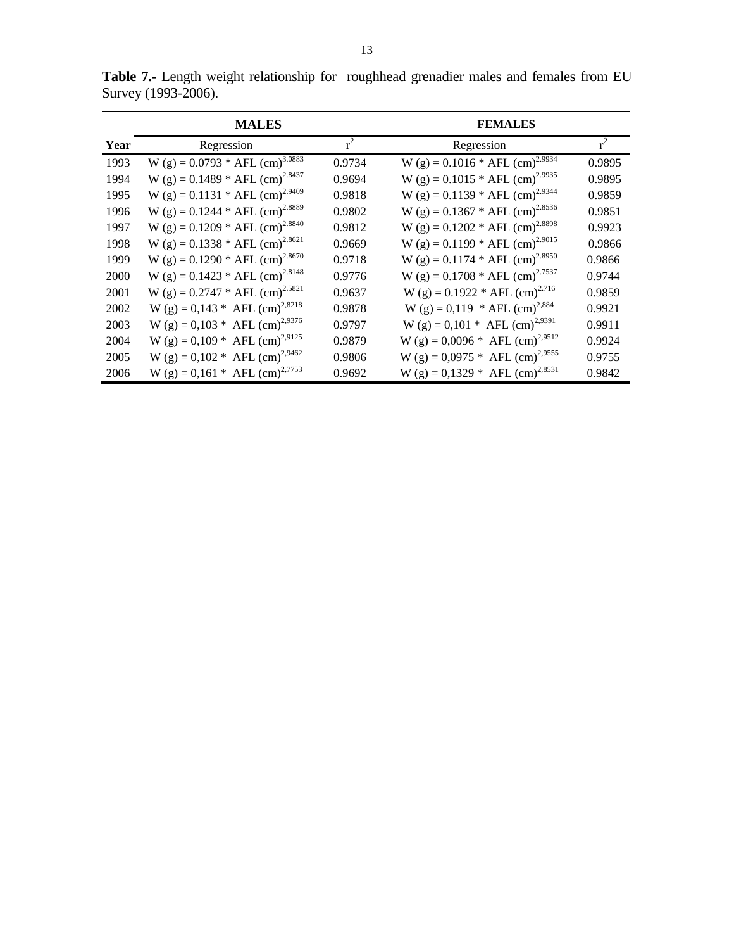|      | <b>MALES</b>                                  |        | <b>FEMALES</b>                                |        |
|------|-----------------------------------------------|--------|-----------------------------------------------|--------|
| Year | Regression                                    | $r^2$  | Regression                                    | $r^2$  |
| 1993 | W (g) = $0.0793 * AFL$ (cm) <sup>3.0883</sup> | 0.9734 | W (g) = $0.1016 * AFL$ (cm) <sup>2.9934</sup> | 0.9895 |
| 1994 | W (g) = $0.1489 * AFL$ (cm) <sup>2.8437</sup> | 0.9694 | W (g) = $0.1015 * AFL$ (cm) <sup>2.9935</sup> | 0.9895 |
| 1995 | W (g) = $0.1131 * AFL$ (cm) <sup>2.9409</sup> | 0.9818 | W (g) = $0.1139 * AFL$ (cm) <sup>2.9344</sup> | 0.9859 |
| 1996 | W (g) = $0.1244 * AFL$ (cm) <sup>2.8889</sup> | 0.9802 | W (g) = $0.1367 * AFL$ (cm) <sup>2.8536</sup> | 0.9851 |
| 1997 | W (g) = $0.1209 * AFL$ (cm) <sup>2.8840</sup> | 0.9812 | W (g) = $0.1202 * AFL$ (cm) <sup>2.8898</sup> | 0.9923 |
| 1998 | W (g) = $0.1338 * AFL$ (cm) <sup>2.8621</sup> | 0.9669 | W (g) = $0.1199 * AFL$ (cm) <sup>2.9015</sup> | 0.9866 |
| 1999 | W (g) = $0.1290 * AFL$ (cm) <sup>2.8670</sup> | 0.9718 | W (g) = $0.1174 * AFL$ (cm) <sup>2.8950</sup> | 0.9866 |
| 2000 | W (g) = $0.1423 * AFL$ (cm) <sup>2.8148</sup> | 0.9776 | W (g) = $0.1708 * AFL$ (cm) <sup>2.7537</sup> | 0.9744 |
| 2001 | W (g) = $0.2747 * AFL$ (cm) <sup>2.5821</sup> | 0.9637 | W (g) = $0.1922 * AFL$ (cm) <sup>2.716</sup>  | 0.9859 |
| 2002 | W (g) = 0,143 * AFL (cm) <sup>2,8218</sup>    | 0.9878 | W (g) = 0,119 * AFL (cm) <sup>2,884</sup>     | 0.9921 |
| 2003 | W (g) = $0,103$ * AFL (cm) <sup>2,9376</sup>  | 0.9797 | W (g) = 0,101 * AFL (cm) <sup>2,9391</sup>    | 0.9911 |
| 2004 | W (g) = 0,109 * AFL (cm) <sup>2,9125</sup>    | 0.9879 | W (g) = $0,0096 * AFL$ (cm) <sup>2,9512</sup> | 0.9924 |
| 2005 | W (g) = $0,102$ * AFL (cm) <sup>2,9462</sup>  | 0.9806 | W (g) = $0.0975 * AFL$ (cm) <sup>2,9555</sup> | 0.9755 |
| 2006 | W (g) = $0,161$ * AFL (cm) <sup>2,7753</sup>  | 0.9692 | W (g) = 0,1329 * AFL (cm) <sup>2,8531</sup>   | 0.9842 |

**Table 7.-** Length weight relationship for roughhead grenadier males and females from EU Survey (1993-2006).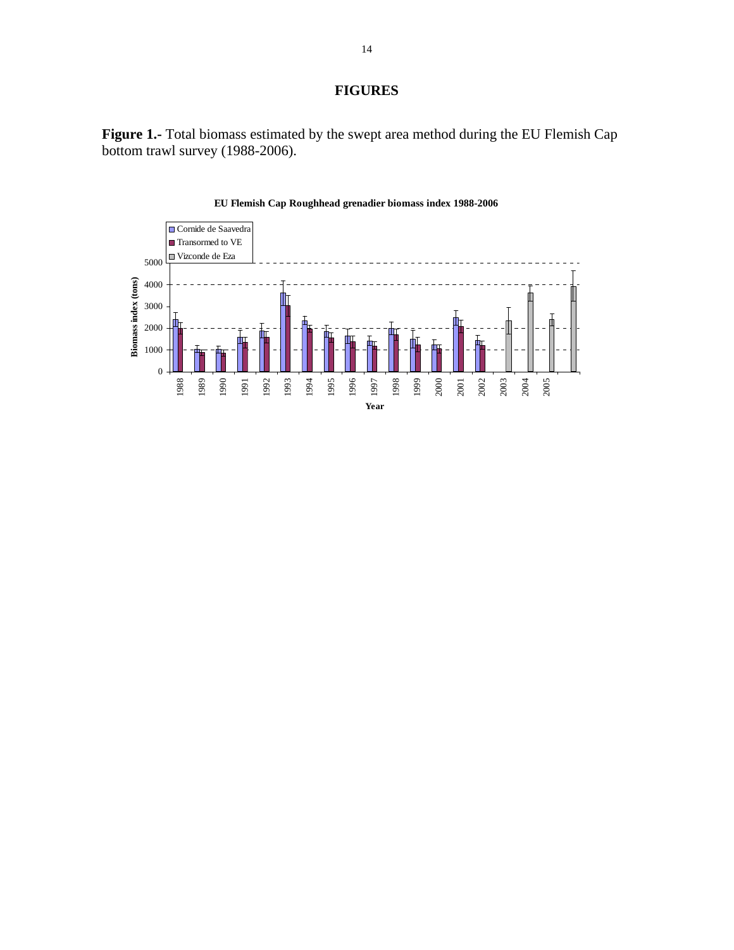# **FIGURES**

**Figure 1.-** Total biomass estimated by the swept area method during the EU Flemish Cap bottom trawl survey (1988-2006).



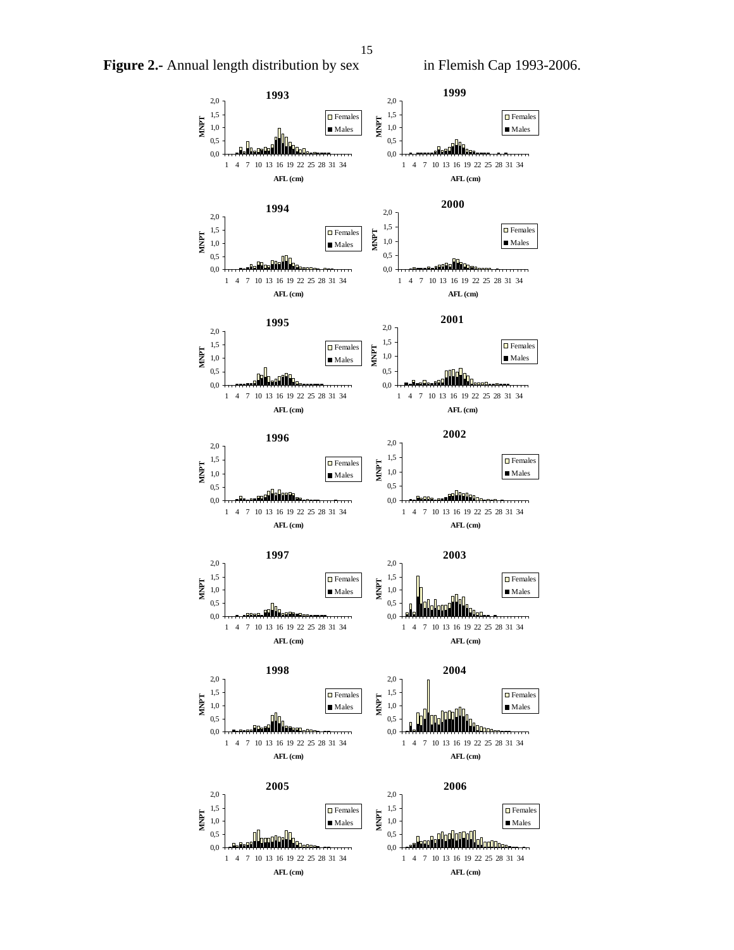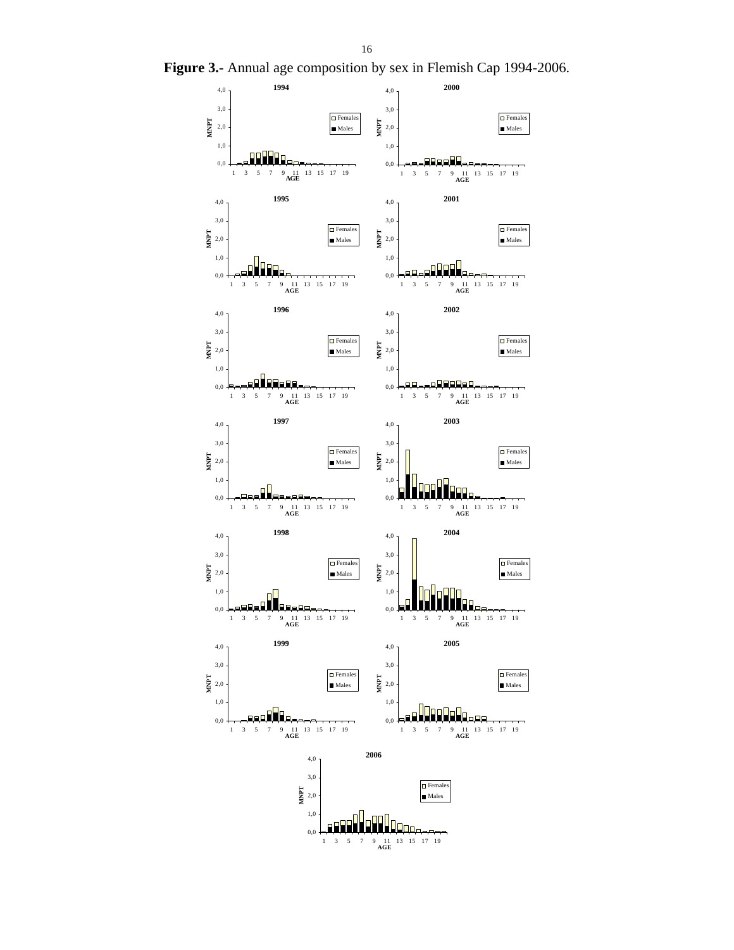**Figure 3.-** Annual age composition by sex in Flemish Cap 1994-2006.

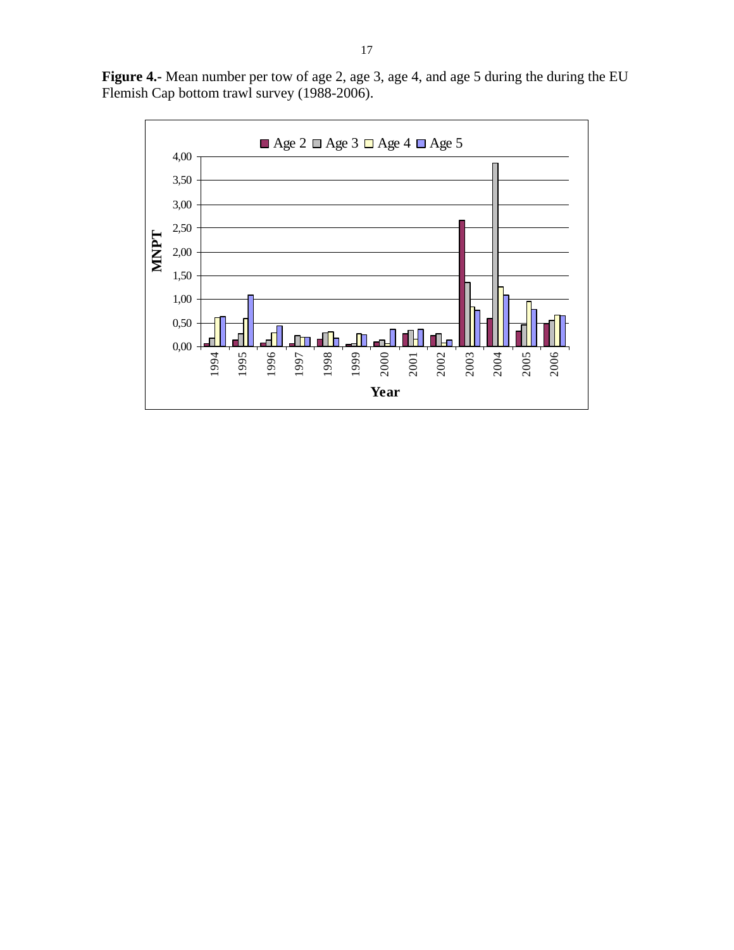

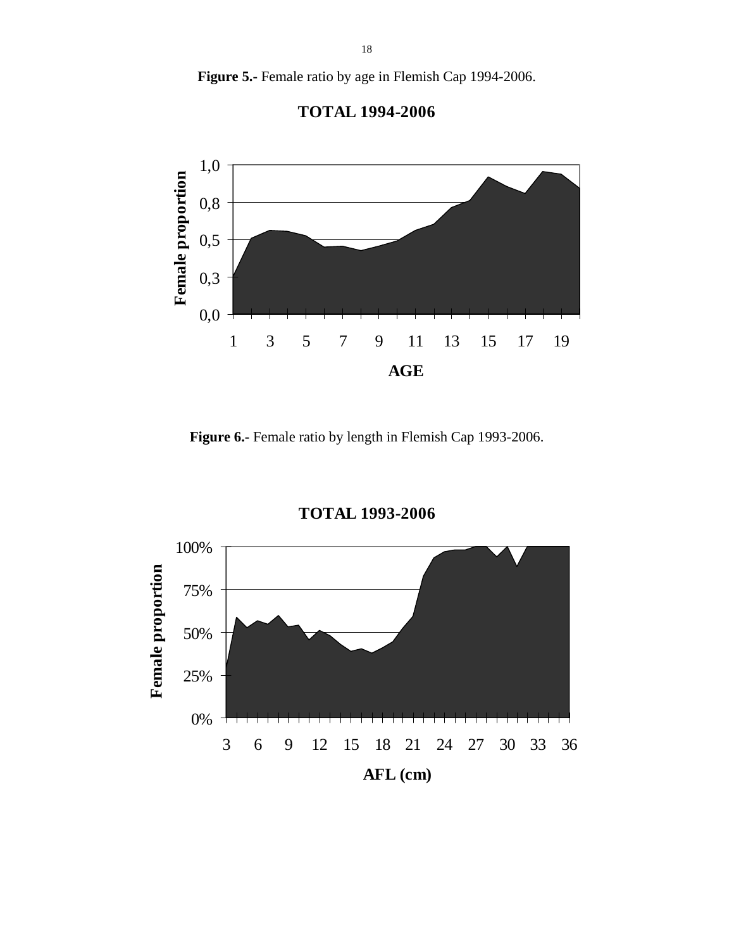**Figure 5.-** Female ratio by age in Flemish Cap 1994-2006.





Figure 6.- Female ratio by length in Flemish Cap 1993-2006.



**TOTAL 1993-2006**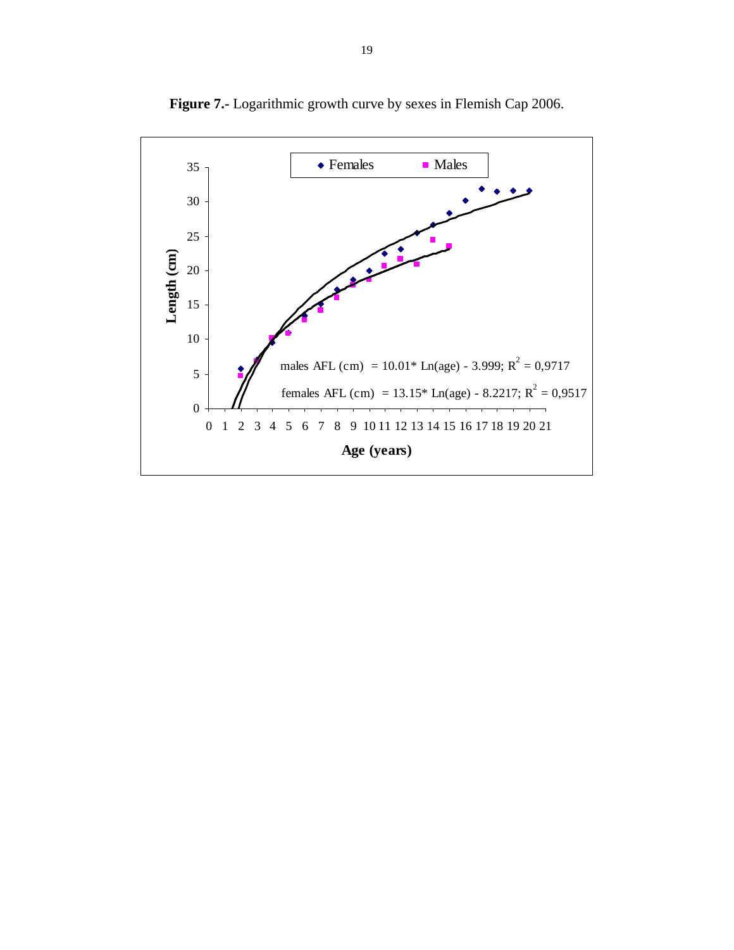

**Figure 7.-** Logarithmic growth curve by sexes in Flemish Cap 2006.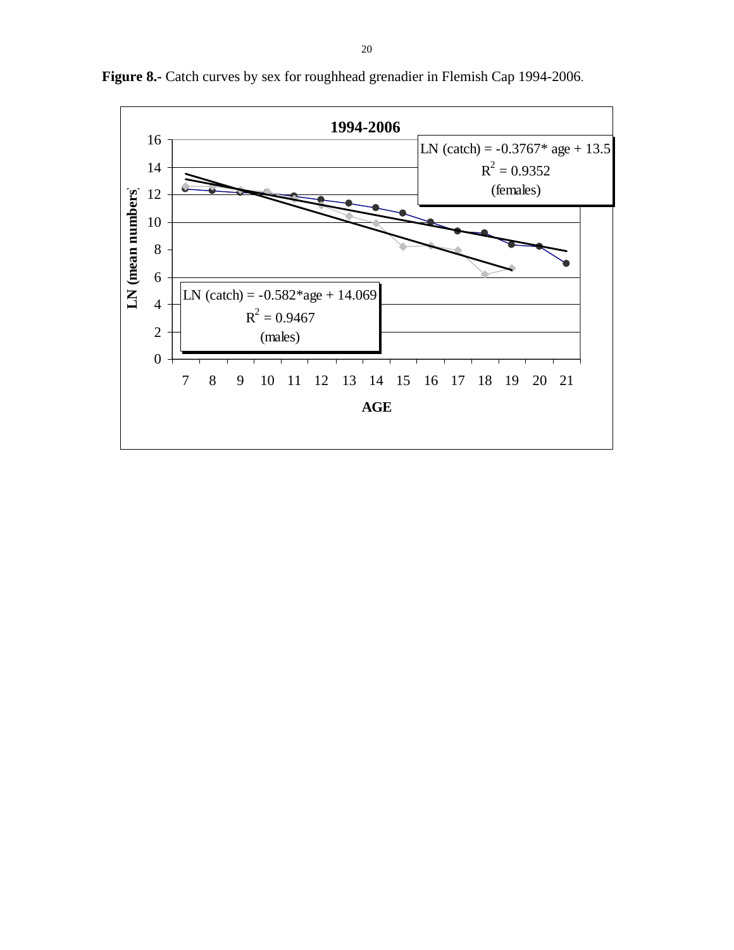

**Figure 8.-** Catch curves by sex for roughhead grenadier in Flemish Cap 1994-2006.